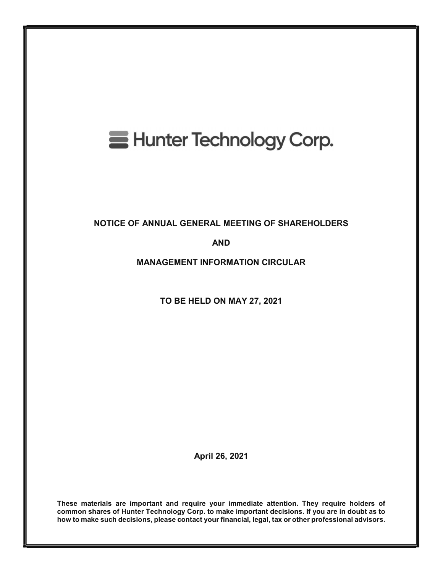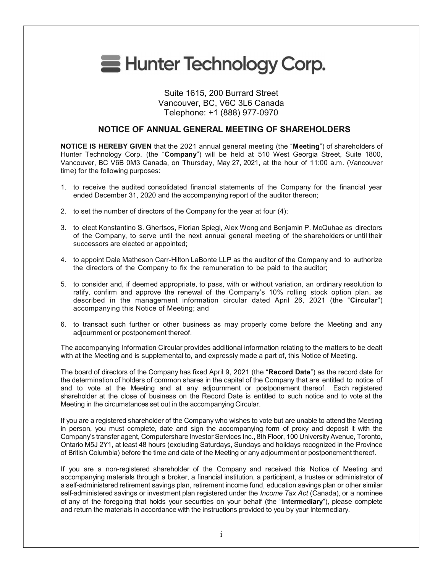

# Suite 1615, 200 Burrard Street Vancouver, BC, V6C 3L6 Canada Telephone: +1 (888) 977-0970

# NOTICE OF ANNUAL GENERAL MEETING OF SHAREHOLDERS

NOTICE IS HEREBY GIVEN that the 2021 annual general meeting (the "Meeting") of shareholders of Hunter Technology Corp. (the "Company") will be held at 510 West Georgia Street, Suite 1800, Vancouver, BC V6B 0M3 Canada, on Thursday, May 27, 2021, at the hour of 11:00 a.m. (Vancouver time) for the following purposes:

- 1. to receive the audited consolidated financial statements of the Company for the financial year ended December 31, 2020 and the accompanying report of the auditor thereon;
- 2. to set the number of directors of the Company for the year at four (4);
- 3. to elect Konstantino S. Ghertsos, Florian Spiegl, Alex Wong and Benjamin P. McQuhae as directors of the Company, to serve until the next annual general meeting of the shareholders or until their successors are elected or appointed;
- 4. to appoint Dale Matheson Carr-Hilton LaBonte LLP as the auditor of the Company and to authorize the directors of the Company to fix the remuneration to be paid to the auditor;
- 5. to consider and, if deemed appropriate, to pass, with or without variation, an ordinary resolution to ratify, confirm and approve the renewal of the Company's 10% rolling stock option plan, as described in the management information circular dated April 26, 2021 (the "Circular") accompanying this Notice of Meeting; and
- 6. to transact such further or other business as may properly come before the Meeting and any adjournment or postponement thereof.

The accompanying Information Circular provides additional information relating to the matters to be dealt with at the Meeting and is supplemental to, and expressly made a part of, this Notice of Meeting.

The board of directors of the Company has fixed April 9, 2021 (the "Record Date") as the record date for the determination of holders of common shares in the capital of the Company that are entitled to notice of and to vote at the Meeting and at any adjournment or postponement thereof. Each registered shareholder at the close of business on the Record Date is entitled to such notice and to vote at the Meeting in the circumstances set out in the accompanying Circular.

If you are a registered shareholder of the Company who wishes to vote but are unable to attend the Meeting in person, you must complete, date and sign the accompanying form of proxy and deposit it with the Company's transfer agent, Computershare Investor Services Inc., 8th Floor, 100 University Avenue, Toronto, Ontario M5J 2Y1, at least 48 hours (excluding Saturdays, Sundays and holidays recognized in the Province of British Columbia) before the time and date of the Meeting or any adjournment or postponement thereof.

If you are a non-registered shareholder of the Company and received this Notice of Meeting and accompanying materials through a broker, a financial institution, a participant, a trustee or administrator of a self-administered retirement savings plan, retirement income fund, education savings plan or other similar self-administered savings or investment plan registered under the Income Tax Act (Canada), or a nominee of any of the foregoing that holds your securities on your behalf (the "Intermediary"), please complete and return the materials in accordance with the instructions provided to you by your Intermediary.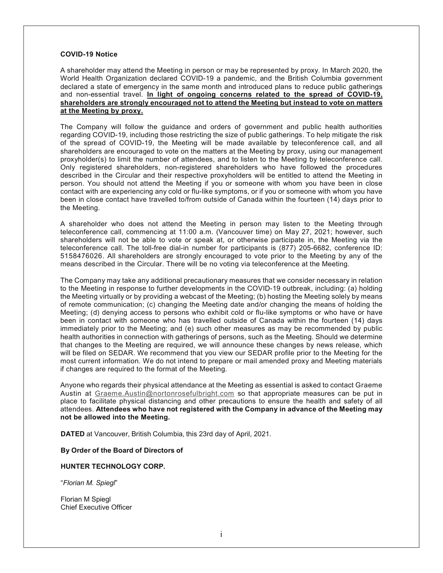#### COVID-19 Notice

A shareholder may attend the Meeting in person or may be represented by proxy. In March 2020, the World Health Organization declared COVID-19 a pandemic, and the British Columbia government declared a state of emergency in the same month and introduced plans to reduce public gatherings and non-essential travel. In light of ongoing concerns related to the spread of COVID-19, shareholders are strongly encouraged not to attend the Meeting but instead to vote on matters at the Meeting by proxy.

The Company will follow the guidance and orders of government and public health authorities regarding COVID-19, including those restricting the size of public gatherings. To help mitigate the risk of the spread of COVID-19, the Meeting will be made available by teleconference call, and all shareholders are encouraged to vote on the matters at the Meeting by proxy, using our management proxyholder(s) to limit the number of attendees, and to listen to the Meeting by teleconference call. Only registered shareholders, non-registered shareholders who have followed the procedures described in the Circular and their respective proxyholders will be entitled to attend the Meeting in person. You should not attend the Meeting if you or someone with whom you have been in close contact with are experiencing any cold or flu-like symptoms, or if you or someone with whom you have been in close contact have travelled to/from outside of Canada within the fourteen (14) days prior to the Meeting.

A shareholder who does not attend the Meeting in person may listen to the Meeting through teleconference call, commencing at 11:00 a.m. (Vancouver time) on May 27, 2021; however, such shareholders will not be able to vote or speak at, or otherwise participate in, the Meeting via the teleconference call. The toll-free dial-in number for participants is (877) 205-6682, conference ID: 5158476026. All shareholders are strongly encouraged to vote prior to the Meeting by any of the means described in the Circular. There will be no voting via teleconference at the Meeting.

The Company may take any additional precautionary measures that we consider necessary in relation to the Meeting in response to further developments in the COVID-19 outbreak, including: (a) holding the Meeting virtually or by providing a webcast of the Meeting; (b) hosting the Meeting solely by means of remote communication; (c) changing the Meeting date and/or changing the means of holding the Meeting; (d) denying access to persons who exhibit cold or flu-like symptoms or who have or have been in contact with someone who has travelled outside of Canada within the fourteen (14) days immediately prior to the Meeting; and (e) such other measures as may be recommended by public health authorities in connection with gatherings of persons, such as the Meeting. Should we determine that changes to the Meeting are required, we will announce these changes by news release, which will be filed on SEDAR. We recommend that you view our SEDAR profile prior to the Meeting for the most current information. We do not intend to prepare or mail amended proxy and Meeting materials if changes are required to the format of the Meeting.

Anyone who regards their physical attendance at the Meeting as essential is asked to contact Graeme Austin at Graeme.Austin@nortonrosefulbright.com so that appropriate measures can be put in place to facilitate physical distancing and other precautions to ensure the health and safety of all attendees. Attendees who have not registered with the Company in advance of the Meeting may not be allowed into the Meeting.

DATED at Vancouver, British Columbia, this 23rd day of April, 2021.

#### By Order of the Board of Directors of

#### HUNTER TECHNOLOGY CORP.

"Florian M. Spiegl"

Florian M Spiegl Chief Executive Officer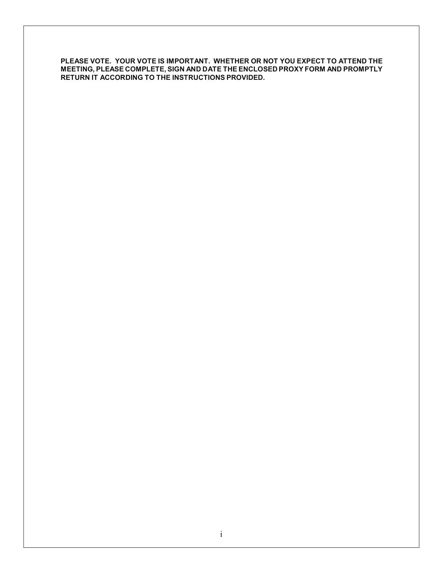PLEASE VOTE. YOUR VOTE IS IMPORTANT. WHETHER OR NOT YOU EXPECT TO ATTEND THE MEETING, PLEASE COMPLETE, SIGN AND DATE THE ENCLOSED PROXY FORM AND PROMPTLY RETURN IT ACCORDING TO THE INSTRUCTIONS PROVIDED.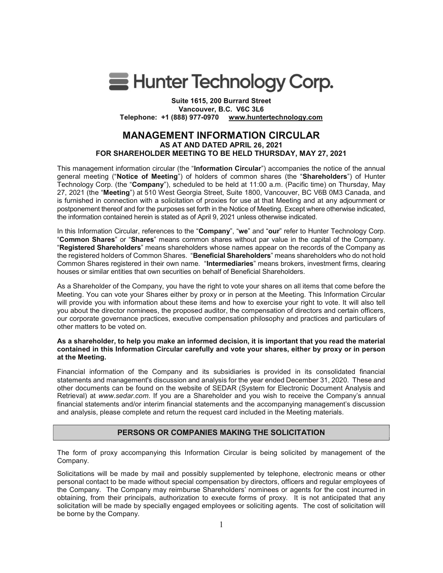

Suite 1615, 200 Burrard Street Vancouver, B.C. V6C 3L6 Telephone: +1 (888) 977-0970 www.huntertechnology.com

# MANAGEMENT INFORMATION CIRCULAR AS AT AND DATED APRIL 26, 2021 FOR SHAREHOLDER MEETING TO BE HELD THURSDAY, MAY 27, 2021

This management information circular (the "Information Circular") accompanies the notice of the annual general meeting ("Notice of Meeting") of holders of common shares (the "Shareholders") of Hunter Technology Corp. (the "Company"), scheduled to be held at 11:00 a.m. (Pacific time) on Thursday, May 27, 2021 (the "Meeting") at 510 West Georgia Street, Suite 1800, Vancouver, BC V6B 0M3 Canada, and is furnished in connection with a solicitation of proxies for use at that Meeting and at any adjournment or postponement thereof and for the purposes set forth in the Notice of Meeting. Except where otherwise indicated, the information contained herein is stated as of April 9, 2021 unless otherwise indicated.

In this Information Circular, references to the "Company", "we" and "our" refer to Hunter Technology Corp. "Common Shares" or "Shares" means common shares without par value in the capital of the Company. "Registered Shareholders" means shareholders whose names appear on the records of the Company as the registered holders of Common Shares. "Beneficial Shareholders" means shareholders who do not hold Common Shares registered in their own name. "Intermediaries" means brokers, investment firms, clearing houses or similar entities that own securities on behalf of Beneficial Shareholders.

As a Shareholder of the Company, you have the right to vote your shares on all items that come before the Meeting. You can vote your Shares either by proxy or in person at the Meeting. This Information Circular will provide you with information about these items and how to exercise your right to vote. It will also tell you about the director nominees, the proposed auditor, the compensation of directors and certain officers, our corporate governance practices, executive compensation philosophy and practices and particulars of other matters to be voted on.

#### As a shareholder, to help you make an informed decision, it is important that you read the material contained in this Information Circular carefully and vote your shares, either by proxy or in person at the Meeting.

Financial information of the Company and its subsidiaries is provided in its consolidated financial statements and management's discussion and analysis for the year ended December 31, 2020. These and other documents can be found on the website of SEDAR (System for Electronic Document Analysis and Retrieval) at www.sedar.com. If you are a Shareholder and you wish to receive the Company's annual financial statements and/or interim financial statements and the accompanying management's discussion and analysis, please complete and return the request card included in the Meeting materials.

# PERSONS OR COMPANIES MAKING THE SOLICITATION

The form of proxy accompanying this Information Circular is being solicited by management of the Company.

Solicitations will be made by mail and possibly supplemented by telephone, electronic means or other personal contact to be made without special compensation by directors, officers and regular employees of the Company. The Company may reimburse Shareholders' nominees or agents for the cost incurred in obtaining, from their principals, authorization to execute forms of proxy. It is not anticipated that any solicitation will be made by specially engaged employees or soliciting agents. The cost of solicitation will be borne by the Company.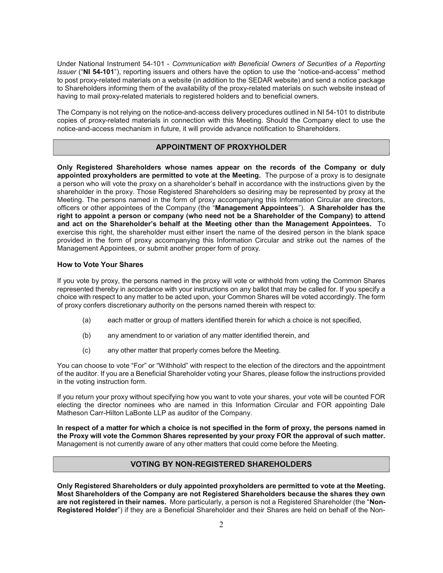Under National Instrument 54-101 - Communication with Beneficial Owners of Securities of a Reporting Issuer ("NI 54-101"), reporting issuers and others have the option to use the "notice-and-access" method to post proxy-related materials on a website (in addition to the SEDAR website) and send a notice package to Shareholders informing them of the availability of the proxy-related materials on such website instead of having to mail proxy-related materials to registered holders and to beneficial owners.

The Company is not relying on the notice-and-access delivery procedures outlined in NI 54-101 to distribute copies of proxy-related materials in connection with this Meeting. Should the Company elect to use the notice-and-access mechanism in future, it will provide advance notification to Shareholders.

## APPOINTMENT OF PROXYHOLDER

Only Registered Shareholders whose names appear on the records of the Company or duly appointed proxyholders are permitted to vote at the Meeting. The purpose of a proxy is to designate a person who will vote the proxy on a shareholder's behalf in accordance with the instructions given by the shareholder in the proxy. Those Registered Shareholders so desiring may be represented by proxy at the Meeting. The persons named in the form of proxy accompanying this Information Circular are directors, officers or other appointees of the Company (the "Management Appointees"). A Shareholder has the right to appoint a person or company (who need not be a Shareholder of the Company) to attend and act on the Shareholder's behalf at the Meeting other than the Management Appointees. To exercise this right, the shareholder must either insert the name of the desired person in the blank space provided in the form of proxy accompanying this Information Circular and strike out the names of the Management Appointees, or submit another proper form of proxy.

#### How to Vote Your Shares

If you vote by proxy, the persons named in the proxy will vote or withhold from voting the Common Shares represented thereby in accordance with your instructions on any ballot that may be called for. If you specify a choice with respect to any matter to be acted upon, your Common Shares will be voted accordingly. The form of proxy confers discretionary authority on the persons named therein with respect to:

- (a) each matter or group of matters identified therein for which a choice is not specified,
- (b) any amendment to or variation of any matter identified therein, and
- (c) any other matter that properly comes before the Meeting.

You can choose to vote "For" or "Withhold" with respect to the election of the directors and the appointment of the auditor. If you are a Beneficial Shareholder voting your Shares, please follow the instructions provided in the voting instruction form.

If you return your proxy without specifying how you want to vote your shares, your vote will be counted FOR electing the director nominees who are named in this Information Circular and FOR appointing Dale Matheson Carr-Hilton LaBonte LLP as auditor of the Company.

In respect of a matter for which a choice is not specified in the form of proxy, the persons named in the Proxy will vote the Common Shares represented by your proxy FOR the approval of such matter. Management is not currently aware of any other matters that could come before the Meeting.

# VOTING BY NON-REGISTERED SHAREHOLDERS

Only Registered Shareholders or duly appointed proxyholders are permitted to vote at the Meeting. Most Shareholders of the Company are not Registered Shareholders because the shares they own are not registered in their names. More particularly, a person is not a Registered Shareholder (the "Non-Registered Holder") if they are a Beneficial Shareholder and their Shares are held on behalf of the Non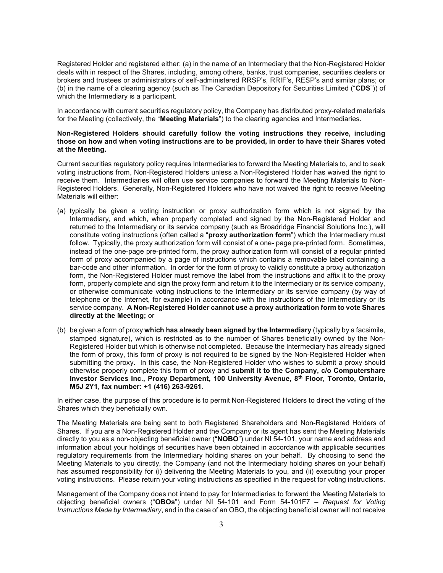Registered Holder and registered either: (a) in the name of an Intermediary that the Non-Registered Holder deals with in respect of the Shares, including, among others, banks, trust companies, securities dealers or brokers and trustees or administrators of self-administered RRSP's, RRIF's, RESP's and similar plans; or (b) in the name of a clearing agency (such as The Canadian Depository for Securities Limited ("CDS")) of which the Intermediary is a participant.

In accordance with current securities regulatory policy, the Company has distributed proxy-related materials for the Meeting (collectively, the "Meeting Materials") to the clearing agencies and Intermediaries.

#### Non-Registered Holders should carefully follow the voting instructions they receive, including those on how and when voting instructions are to be provided, in order to have their Shares voted at the Meeting.

Current securities regulatory policy requires Intermediaries to forward the Meeting Materials to, and to seek voting instructions from, Non-Registered Holders unless a Non-Registered Holder has waived the right to receive them. Intermediaries will often use service companies to forward the Meeting Materials to Non-Registered Holders. Generally, Non-Registered Holders who have not waived the right to receive Meeting Materials will either:

- (a) typically be given a voting instruction or proxy authorization form which is not signed by the Intermediary, and which, when properly completed and signed by the Non-Registered Holder and returned to the Intermediary or its service company (such as Broadridge Financial Solutions Inc.), will constitute voting instructions (often called a "proxy authorization form") which the Intermediary must follow. Typically, the proxy authorization form will consist of a one- page pre-printed form. Sometimes, instead of the one-page pre-printed form, the proxy authorization form will consist of a regular printed form of proxy accompanied by a page of instructions which contains a removable label containing a bar-code and other information. In order for the form of proxy to validly constitute a proxy authorization form, the Non-Registered Holder must remove the label from the instructions and affix it to the proxy form, properly complete and sign the proxy form and return it to the Intermediary or its service company, or otherwise communicate voting instructions to the Intermediary or its service company (by way of telephone or the Internet, for example) in accordance with the instructions of the Intermediary or its service company. A Non-Registered Holder cannot use a proxy authorization form to vote Shares directly at the Meeting; or
- (b) be given a form of proxy which has already been signed by the Intermediary (typically by a facsimile, stamped signature), which is restricted as to the number of Shares beneficially owned by the Non-Registered Holder but which is otherwise not completed. Because the Intermediary has already signed the form of proxy, this form of proxy is not required to be signed by the Non-Registered Holder when submitting the proxy. In this case, the Non-Registered Holder who wishes to submit a proxy should otherwise properly complete this form of proxy and submit it to the Company, c/o Computershare Investor Services Inc., Proxy Department, 100 University Avenue, 8<sup>th</sup> Floor, Toronto, Ontario, M5J 2Y1, fax number: +1 (416) 263-9261.

In either case, the purpose of this procedure is to permit Non-Registered Holders to direct the voting of the Shares which they beneficially own.

The Meeting Materials are being sent to both Registered Shareholders and Non-Registered Holders of Shares. If you are a Non-Registered Holder and the Company or its agent has sent the Meeting Materials directly to you as a non-objecting beneficial owner ("NOBO") under NI 54-101, your name and address and information about your holdings of securities have been obtained in accordance with applicable securities regulatory requirements from the Intermediary holding shares on your behalf. By choosing to send the Meeting Materials to you directly, the Company (and not the Intermediary holding shares on your behalf) has assumed responsibility for (i) delivering the Meeting Materials to you, and (ii) executing your proper voting instructions. Please return your voting instructions as specified in the request for voting instructions.

Management of the Company does not intend to pay for Intermediaries to forward the Meeting Materials to objecting beneficial owners ("OBOs") under NI 54-101 and Form 54-101F7 – Request for Voting Instructions Made by Intermediary, and in the case of an OBO, the objecting beneficial owner will not receive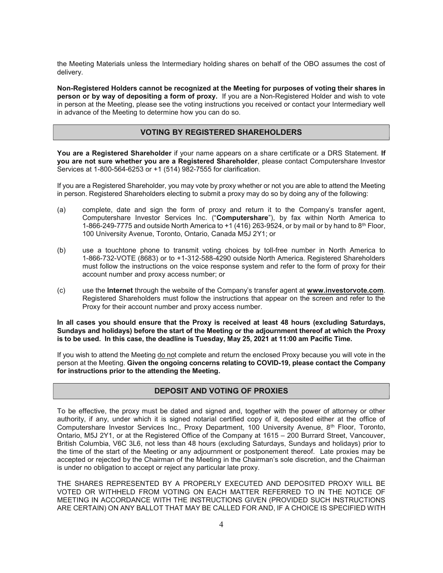the Meeting Materials unless the Intermediary holding shares on behalf of the OBO assumes the cost of delivery.

Non-Registered Holders cannot be recognized at the Meeting for purposes of voting their shares in person or by way of depositing a form of proxy. If you are a Non-Registered Holder and wish to vote in person at the Meeting, please see the voting instructions you received or contact your Intermediary well in advance of the Meeting to determine how you can do so.

## VOTING BY REGISTERED SHAREHOLDERS

You are a Registered Shareholder if your name appears on a share certificate or a DRS Statement. If you are not sure whether you are a Registered Shareholder, please contact Computershare Investor Services at 1-800-564-6253 or +1 (514) 982-7555 for clarification.

If you are a Registered Shareholder, you may vote by proxy whether or not you are able to attend the Meeting in person. Registered Shareholders electing to submit a proxy may do so by doing any of the following:

- (a) complete, date and sign the form of proxy and return it to the Company's transfer agent, Computershare Investor Services Inc. ("Computershare"), by fax within North America to 1-866-249-7775 and outside North America to  $+1$  (416) 263-9524, or by mail or by hand to 8<sup>th</sup> Floor, 100 University Avenue, Toronto, Ontario, Canada M5J 2Y1; or
- (b) use a touchtone phone to transmit voting choices by toll-free number in North America to 1-866-732-VOTE (8683) or to +1-312-588-4290 outside North America. Registered Shareholders must follow the instructions on the voice response system and refer to the form of proxy for their account number and proxy access number; or
- (c) use the Internet through the website of the Company's transfer agent at www.investorvote.com. Registered Shareholders must follow the instructions that appear on the screen and refer to the Proxy for their account number and proxy access number.

In all cases you should ensure that the Proxy is received at least 48 hours (excluding Saturdays, Sundays and holidays) before the start of the Meeting or the adjournment thereof at which the Proxy is to be used. In this case, the deadline is Tuesday, May 25, 2021 at 11:00 am Pacific Time.

If you wish to attend the Meeting do not complete and return the enclosed Proxy because you will vote in the person at the Meeting. Given the ongoing concerns relating to COVID-19, please contact the Company for instructions prior to the attending the Meeting.

# DEPOSIT AND VOTING OF PROXIES

To be effective, the proxy must be dated and signed and, together with the power of attorney or other authority, if any, under which it is signed notarial certified copy of it, deposited either at the office of Computershare Investor Services Inc., Proxy Department, 100 University Avenue, 8th Floor, Toronto, Ontario, M5J 2Y1, or at the Registered Office of the Company at 1615 – 200 Burrard Street, Vancouver, British Columbia, V6C 3L6, not less than 48 hours (excluding Saturdays, Sundays and holidays) prior to the time of the start of the Meeting or any adjournment or postponement thereof. Late proxies may be accepted or rejected by the Chairman of the Meeting in the Chairman's sole discretion, and the Chairman is under no obligation to accept or reject any particular late proxy.

THE SHARES REPRESENTED BY A PROPERLY EXECUTED AND DEPOSITED PROXY WILL BE VOTED OR WITHHELD FROM VOTING ON EACH MATTER REFERRED TO IN THE NOTICE OF MEETING IN ACCORDANCE WITH THE INSTRUCTIONS GIVEN (PROVIDED SUCH INSTRUCTIONS ARE CERTAIN) ON ANY BALLOT THAT MAY BE CALLED FOR AND, IF A CHOICE IS SPECIFIED WITH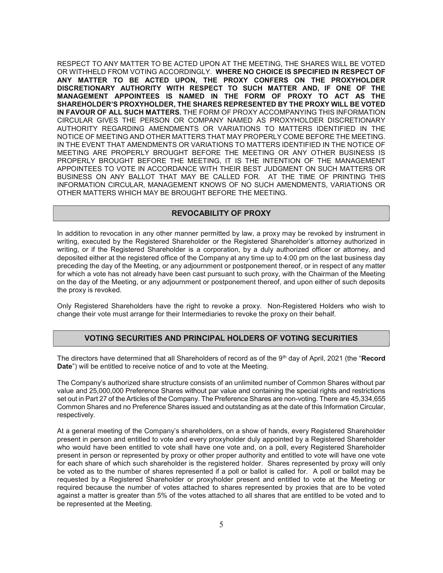RESPECT TO ANY MATTER TO BE ACTED UPON AT THE MEETING, THE SHARES WILL BE VOTED OR WITHHELD FROM VOTING ACCORDINGLY. WHERE NO CHOICE IS SPECIFIED IN RESPECT OF ANY MATTER TO BE ACTED UPON, THE PROXY CONFERS ON THE PROXYHOLDER DISCRETIONARY AUTHORITY WITH RESPECT TO SUCH MATTER AND, IF ONE OF THE MANAGEMENT APPOINTEES IS NAMED IN THE FORM OF PROXY TO ACT AS THE SHAREHOLDER'S PROXYHOLDER, THE SHARES REPRESENTED BY THE PROXY WILL BE VOTED IN FAVOUR OF ALL SUCH MATTERS. THE FORM OF PROXY ACCOMPANYING THIS INFORMATION CIRCULAR GIVES THE PERSON OR COMPANY NAMED AS PROXYHOLDER DISCRETIONARY AUTHORITY REGARDING AMENDMENTS OR VARIATIONS TO MATTERS IDENTIFIED IN THE NOTICE OF MEETING AND OTHER MATTERS THAT MAY PROPERLY COME BEFORE THE MEETING. IN THE EVENT THAT AMENDMENTS OR VARIATIONS TO MATTERS IDENTIFIED IN THE NOTICE OF MEETING ARE PROPERLY BROUGHT BEFORE THE MEETING OR ANY OTHER BUSINESS IS PROPERLY BROUGHT BEFORE THE MEETING, IT IS THE INTENTION OF THE MANAGEMENT APPOINTEES TO VOTE IN ACCORDANCE WITH THEIR BEST JUDGMENT ON SUCH MATTERS OR BUSINESS ON ANY BALLOT THAT MAY BE CALLED FOR. AT THE TIME OF PRINTING THIS INFORMATION CIRCULAR, MANAGEMENT KNOWS OF NO SUCH AMENDMENTS, VARIATIONS OR OTHER MATTERS WHICH MAY BE BROUGHT BEFORE THE MEETING.

## REVOCABILITY OF PROXY

In addition to revocation in any other manner permitted by law, a proxy may be revoked by instrument in writing, executed by the Registered Shareholder or the Registered Shareholder's attorney authorized in writing, or if the Registered Shareholder is a corporation, by a duly authorized officer or attorney, and deposited either at the registered office of the Company at any time up to 4:00 pm on the last business day preceding the day of the Meeting, or any adjournment or postponement thereof, or in respect of any matter for which a vote has not already have been cast pursuant to such proxy, with the Chairman of the Meeting on the day of the Meeting, or any adjournment or postponement thereof, and upon either of such deposits the proxy is revoked.

Only Registered Shareholders have the right to revoke a proxy. Non-Registered Holders who wish to change their vote must arrange for their Intermediaries to revoke the proxy on their behalf.

## VOTING SECURITIES AND PRINCIPAL HOLDERS OF VOTING SECURITIES

The directors have determined that all Shareholders of record as of the 9<sup>th</sup> day of April, 2021 (the "Record Date") will be entitled to receive notice of and to vote at the Meeting.

The Company's authorized share structure consists of an unlimited number of Common Shares without par value and 25,000,000 Preference Shares without par value and containing the special rights and restrictions set out in Part 27 of the Articles of the Company. The Preference Shares are non-voting. There are 45,334,655 Common Shares and no Preference Shares issued and outstanding as at the date of this Information Circular, respectively.

At a general meeting of the Company's shareholders, on a show of hands, every Registered Shareholder present in person and entitled to vote and every proxyholder duly appointed by a Registered Shareholder who would have been entitled to vote shall have one vote and, on a poll, every Registered Shareholder present in person or represented by proxy or other proper authority and entitled to vote will have one vote for each share of which such shareholder is the registered holder. Shares represented by proxy will only be voted as to the number of shares represented if a poll or ballot is called for. A poll or ballot may be requested by a Registered Shareholder or proxyholder present and entitled to vote at the Meeting or required because the number of votes attached to shares represented by proxies that are to be voted against a matter is greater than 5% of the votes attached to all shares that are entitled to be voted and to be represented at the Meeting.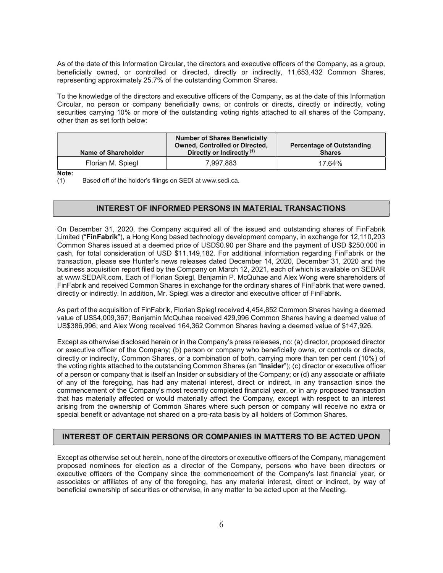As of the date of this Information Circular, the directors and executive officers of the Company, as a group, beneficially owned, or controlled or directed, directly or indirectly, 11,653,432 Common Shares, representing approximately 25.7% of the outstanding Common Shares.

To the knowledge of the directors and executive officers of the Company, as at the date of this Information Circular, no person or company beneficially owns, or controls or directs, directly or indirectly, voting securities carrying 10% or more of the outstanding voting rights attached to all shares of the Company, other than as set forth below:

| Name of Shareholder | <b>Number of Shares Beneficially</b><br><b>Owned, Controlled or Directed,</b><br>Directly or Indirectly <sup>(1)</sup> | <b>Percentage of Outstanding</b><br><b>Shares</b> |
|---------------------|------------------------------------------------------------------------------------------------------------------------|---------------------------------------------------|
| Florian M. Spiegl   | 7.997.883                                                                                                              | 17.64%                                            |

Note:

(1) Based off of the holder's filings on SEDI at www.sedi.ca.

## INTEREST OF INFORMED PERSONS IN MATERIAL TRANSACTIONS

On December 31, 2020, the Company acquired all of the issued and outstanding shares of FinFabrik Limited ("FinFabrik"), a Hong Kong based technology development company, in exchange for 12,110,203 Common Shares issued at a deemed price of USD\$0.90 per Share and the payment of USD \$250,000 in cash, for total consideration of USD \$11,149,182. For additional information regarding FinFabrik or the transaction, please see Hunter's news releases dated December 14, 2020, December 31, 2020 and the business acquisition report filed by the Company on March 12, 2021, each of which is available on SEDAR at www.SEDAR.com. Each of Florian Spiegl, Benjamin P. McQuhae and Alex Wong were shareholders of FinFabrik and received Common Shares in exchange for the ordinary shares of FinFabrik that were owned, directly or indirectly. In addition, Mr. Spiegl was a director and executive officer of FinFabrik.

As part of the acquisition of FinFabrik, Florian Spiegl received 4,454,852 Common Shares having a deemed value of US\$4,009,367; Benjamin McQuhae received 429,996 Common Shares having a deemed value of US\$386,996; and Alex Wong received 164,362 Common Shares having a deemed value of \$147,926.

Except as otherwise disclosed herein or in the Company's press releases, no: (a) director, proposed director or executive officer of the Company; (b) person or company who beneficially owns, or controls or directs, directly or indirectly, Common Shares, or a combination of both, carrying more than ten per cent (10%) of the voting rights attached to the outstanding Common Shares (an "Insider"); (c) director or executive officer of a person or company that is itself an Insider or subsidiary of the Company; or (d) any associate or affiliate of any of the foregoing, has had any material interest, direct or indirect, in any transaction since the commencement of the Company's most recently completed financial year, or in any proposed transaction that has materially affected or would materially affect the Company, except with respect to an interest arising from the ownership of Common Shares where such person or company will receive no extra or special benefit or advantage not shared on a pro-rata basis by all holders of Common Shares.

## INTEREST OF CERTAIN PERSONS OR COMPANIES IN MATTERS TO BE ACTED UPON

Except as otherwise set out herein, none of the directors or executive officers of the Company, management proposed nominees for election as a director of the Company, persons who have been directors or executive officers of the Company since the commencement of the Company's last financial year, or associates or affiliates of any of the foregoing, has any material interest, direct or indirect, by way of beneficial ownership of securities or otherwise, in any matter to be acted upon at the Meeting.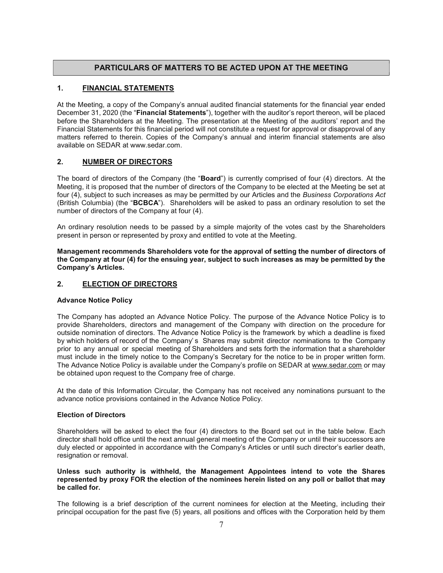# PARTICULARS OF MATTERS TO BE ACTED UPON AT THE MEETING

# 1. FINANCIAL STATEMENTS

At the Meeting, a copy of the Company's annual audited financial statements for the financial year ended December 31, 2020 (the "**Financial Statements**"), together with the auditor's report thereon, will be placed before the Shareholders at the Meeting. The presentation at the Meeting of the auditors' report and the Financial Statements for this financial period will not constitute a request for approval or disapproval of any matters referred to therein. Copies of the Company's annual and interim financial statements are also available on SEDAR at www.sedar.com.

## 2. NUMBER OF DIRECTORS

The board of directors of the Company (the "Board") is currently comprised of four (4) directors. At the Meeting, it is proposed that the number of directors of the Company to be elected at the Meeting be set at four (4), subject to such increases as may be permitted by our Articles and the Business Corporations Act (British Columbia) (the "BCBCA"). Shareholders will be asked to pass an ordinary resolution to set the number of directors of the Company at four (4).

An ordinary resolution needs to be passed by a simple majority of the votes cast by the Shareholders present in person or represented by proxy and entitled to vote at the Meeting.

Management recommends Shareholders vote for the approval of setting the number of directors of the Company at four (4) for the ensuing year, subject to such increases as may be permitted by the Company's Articles.

## 2. ELECTION OF DIRECTORS

## Advance Notice Policy

The Company has adopted an Advance Notice Policy. The purpose of the Advance Notice Policy is to provide Shareholders, directors and management of the Company with direction on the procedure for outside nomination of directors. The Advance Notice Policy is the framework by which a deadline is fixed by which holders of record of the Company' s Shares may submit director nominations to the Company prior to any annual or special meeting of Shareholders and sets forth the information that a shareholder must include in the timely notice to the Company's Secretary for the notice to be in proper written form. The Advance Notice Policy is available under the Company's profile on SEDAR at www.sedar.com or may be obtained upon request to the Company free of charge.

At the date of this Information Circular, the Company has not received any nominations pursuant to the advance notice provisions contained in the Advance Notice Policy.

#### Election of Directors

Shareholders will be asked to elect the four (4) directors to the Board set out in the table below. Each director shall hold office until the next annual general meeting of the Company or until their successors are duly elected or appointed in accordance with the Company's Articles or until such director's earlier death, resignation or removal.

#### Unless such authority is withheld, the Management Appointees intend to vote the Shares represented by proxy FOR the election of the nominees herein listed on any poll or ballot that may be called for.

The following is a brief description of the current nominees for election at the Meeting, including their principal occupation for the past five (5) years, all positions and offices with the Corporation held by them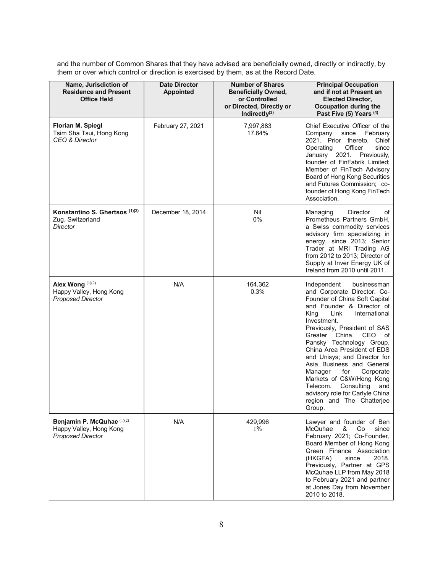and the number of Common Shares that they have advised are beneficially owned, directly or indirectly, by them or over which control or direction is exercised by them, as at the Record Date.

| Name, Jurisdiction of<br><b>Residence and Present</b><br><b>Office Held</b>       | <b>Date Director</b><br><b>Number of Shares</b><br><b>Appointed</b><br><b>Beneficially Owned,</b><br>or Controlled<br>or Directed, Directly or<br>Indirectly $(3)$ |                  | <b>Principal Occupation</b><br>and if not at Present an<br><b>Elected Director,</b><br><b>Occupation during the</b><br>Past Five (5) Years (4)                                                                                                                                                                                                                                                                                                                                                                                    |
|-----------------------------------------------------------------------------------|--------------------------------------------------------------------------------------------------------------------------------------------------------------------|------------------|-----------------------------------------------------------------------------------------------------------------------------------------------------------------------------------------------------------------------------------------------------------------------------------------------------------------------------------------------------------------------------------------------------------------------------------------------------------------------------------------------------------------------------------|
| <b>Florian M. Spiegl</b><br>Tsim Sha Tsui, Hong Kong<br>CEO & Director            | February 27, 2021<br>7,997,883<br>17.64%                                                                                                                           |                  | Chief Executive Officer of the<br>Company<br>February<br>since<br>2021. Prior thereto, Chief<br>since<br>Operating<br>Officer<br>January 2021. Previously,<br>founder of FinFabrik Limited;<br>Member of FinTech Advisory<br>Board of Hong Kong Securities<br>and Futures Commission; co-<br>founder of Hong Kong FinTech<br>Association.                                                                                                                                                                                         |
| Konstantino S. Ghertsos (1)(2)<br>Zug, Switzerland<br>Director                    | December 18, 2014                                                                                                                                                  | Nil<br>0%        | of<br>Managing<br>Director<br>Prometheus Partners GmbH,<br>a Swiss commodity services<br>advisory firm specializing in<br>energy, since 2013; Senior<br>Trader at MRI Trading AG<br>from 2012 to 2013; Director of<br>Supply at Inver Energy UK of<br>Ireland from 2010 until 2011.                                                                                                                                                                                                                                               |
| Alex Wong (1)(2)<br>Happy Valley, Hong Kong<br><b>Proposed Director</b>           | N/A                                                                                                                                                                | 164,362<br>0.3%  | Independent<br>businessman<br>and Corporate Director. Co-<br>Founder of China Soft Capital<br>and Founder & Director of<br>King<br>Link<br>International<br>Investment.<br>Previously, President of SAS<br>Greater China,<br>CEO of<br>Pansky Technology Group,<br>China Area President of EDS<br>and Unisys; and Director for<br>Asia Business and General<br>for<br>Corporate<br>Manager<br>Markets of C&W/Hong Kong<br>Consulting<br>Telecom.<br>and<br>advisory role for Carlyle China<br>region and The Chatterjee<br>Group. |
| Benjamin P. McQuhae (1)(2)<br>Happy Valley, Hong Kong<br><b>Proposed Director</b> | N/A                                                                                                                                                                | 429,996<br>$1\%$ | Lawyer and founder of Ben<br>&<br>McQuhae<br>Co<br>since<br>February 2021; Co-Founder,<br>Board Member of Hong Kong<br>Green Finance Association<br>(HKGFA)<br>since<br>2018.<br>Previously, Partner at GPS<br>McQuhae LLP from May 2018<br>to February 2021 and partner<br>at Jones Day from November<br>2010 to 2018.                                                                                                                                                                                                           |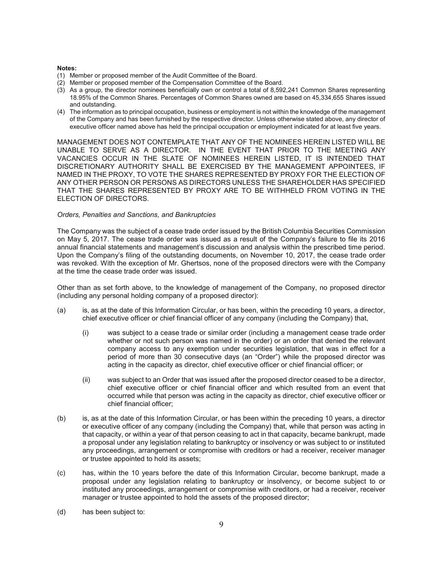#### Notes:

- (1) Member or proposed member of the Audit Committee of the Board.
- (2) Member or proposed member of the Compensation Committee of the Board.
- (3) As a group, the director nominees beneficially own or control a total of 8,592,241 Common Shares representing 18.95% of the Common Shares. Percentages of Common Shares owned are based on 45,334,655 Shares issued and outstanding.
- (4) The information as to principal occupation, business or employment is not within the knowledge of the management of the Company and has been furnished by the respective director. Unless otherwise stated above, any director of executive officer named above has held the principal occupation or employment indicated for at least five years.

MANAGEMENT DOES NOT CONTEMPLATE THAT ANY OF THE NOMINEES HEREIN LISTED WILL BE UNABLE TO SERVE AS A DIRECTOR. IN THE EVENT THAT PRIOR TO THE MEETING ANY VACANCIES OCCUR IN THE SLATE OF NOMINEES HEREIN LISTED, IT IS INTENDED THAT DISCRETIONARY AUTHORITY SHALL BE EXERCISED BY THE MANAGEMENT APPOINTEES, IF NAMED IN THE PROXY, TO VOTE THE SHARES REPRESENTED BY PROXY FOR THE ELECTION OF ANY OTHER PERSON OR PERSONS AS DIRECTORS UNLESS THE SHAREHOLDER HAS SPECIFIED THAT THE SHARES REPRESENTED BY PROXY ARE TO BE WITHHELD FROM VOTING IN THE ELECTION OF DIRECTORS.

## Orders, Penalties and Sanctions, and Bankruptcies

The Company was the subject of a cease trade order issued by the British Columbia Securities Commission on May 5, 2017. The cease trade order was issued as a result of the Company's failure to file its 2016 annual financial statements and management's discussion and analysis within the prescribed time period. Upon the Company's filing of the outstanding documents, on November 10, 2017, the cease trade order was revoked. With the exception of Mr. Ghertsos, none of the proposed directors were with the Company at the time the cease trade order was issued.

Other than as set forth above, to the knowledge of management of the Company, no proposed director (including any personal holding company of a proposed director):

- (a) is, as at the date of this Information Circular, or has been, within the preceding 10 years, a director, chief executive officer or chief financial officer of any company (including the Company) that,
	- (i) was subject to a cease trade or similar order (including a management cease trade order whether or not such person was named in the order) or an order that denied the relevant company access to any exemption under securities legislation, that was in effect for a period of more than 30 consecutive days (an "Order") while the proposed director was acting in the capacity as director, chief executive officer or chief financial officer; or
	- (ii) was subject to an Order that was issued after the proposed director ceased to be a director, chief executive officer or chief financial officer and which resulted from an event that occurred while that person was acting in the capacity as director, chief executive officer or chief financial officer;
- (b) is, as at the date of this Information Circular, or has been within the preceding 10 years, a director or executive officer of any company (including the Company) that, while that person was acting in that capacity, or within a year of that person ceasing to act in that capacity, became bankrupt, made a proposal under any legislation relating to bankruptcy or insolvency or was subject to or instituted any proceedings, arrangement or compromise with creditors or had a receiver, receiver manager or trustee appointed to hold its assets;
- (c) has, within the 10 years before the date of this Information Circular, become bankrupt, made a proposal under any legislation relating to bankruptcy or insolvency, or become subject to or instituted any proceedings, arrangement or compromise with creditors, or had a receiver, receiver manager or trustee appointed to hold the assets of the proposed director;
- (d) has been subject to: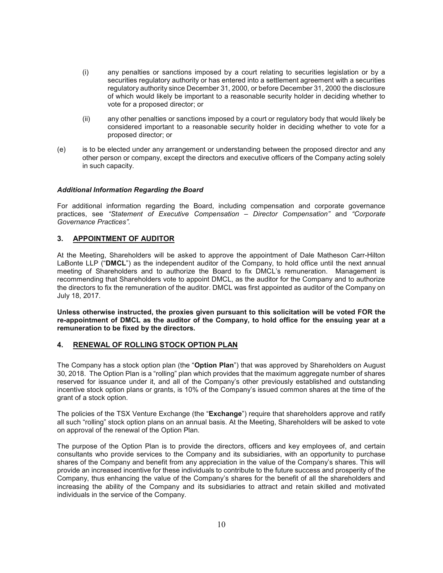- (i) any penalties or sanctions imposed by a court relating to securities legislation or by a securities regulatory authority or has entered into a settlement agreement with a securities regulatory authority since December 31, 2000, or before December 31, 2000 the disclosure of which would likely be important to a reasonable security holder in deciding whether to vote for a proposed director; or
- (ii) any other penalties or sanctions imposed by a court or regulatory body that would likely be considered important to a reasonable security holder in deciding whether to vote for a proposed director; or
- (e) is to be elected under any arrangement or understanding between the proposed director and any other person or company, except the directors and executive officers of the Company acting solely in such capacity.

## Additional Information Regarding the Board

For additional information regarding the Board, including compensation and corporate governance practices, see "Statement of Executive Compensation – Director Compensation" and "Corporate Governance Practices".

## 3. APPOINTMENT OF AUDITOR

At the Meeting, Shareholders will be asked to approve the appointment of Dale Matheson Carr-Hilton LaBonte LLP ("DMCL") as the independent auditor of the Company, to hold office until the next annual meeting of Shareholders and to authorize the Board to fix DMCL's remuneration. Management is recommending that Shareholders vote to appoint DMCL, as the auditor for the Company and to authorize the directors to fix the remuneration of the auditor. DMCL was first appointed as auditor of the Company on July 18, 2017.

Unless otherwise instructed, the proxies given pursuant to this solicitation will be voted FOR the re-appointment of DMCL as the auditor of the Company, to hold office for the ensuing year at a remuneration to be fixed by the directors.

## 4. RENEWAL OF ROLLING STOCK OPTION PLAN

The Company has a stock option plan (the "Option Plan") that was approved by Shareholders on August 30, 2018. The Option Plan is a "rolling" plan which provides that the maximum aggregate number of shares reserved for issuance under it, and all of the Company's other previously established and outstanding incentive stock option plans or grants, is 10% of the Company's issued common shares at the time of the grant of a stock option.

The policies of the TSX Venture Exchange (the "Exchange") require that shareholders approve and ratify all such "rolling" stock option plans on an annual basis. At the Meeting, Shareholders will be asked to vote on approval of the renewal of the Option Plan.

The purpose of the Option Plan is to provide the directors, officers and key employees of, and certain consultants who provide services to the Company and its subsidiaries, with an opportunity to purchase shares of the Company and benefit from any appreciation in the value of the Company's shares. This will provide an increased incentive for these individuals to contribute to the future success and prosperity of the Company, thus enhancing the value of the Company's shares for the benefit of all the shareholders and increasing the ability of the Company and its subsidiaries to attract and retain skilled and motivated individuals in the service of the Company.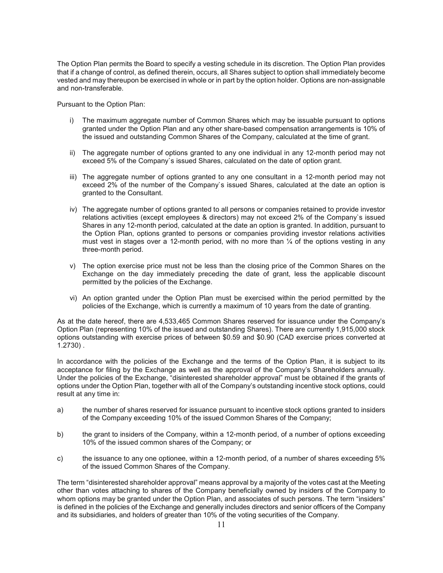The Option Plan permits the Board to specify a vesting schedule in its discretion. The Option Plan provides that if a change of control, as defined therein, occurs, all Shares subject to option shall immediately become vested and may thereupon be exercised in whole or in part by the option holder. Options are non-assignable and non-transferable.

Pursuant to the Option Plan:

- i) The maximum aggregate number of Common Shares which may be issuable pursuant to options granted under the Option Plan and any other share-based compensation arrangements is 10% of the issued and outstanding Common Shares of the Company, calculated at the time of grant.
- ii) The aggregate number of options granted to any one individual in any 12-month period may not exceed 5% of the Company`s issued Shares, calculated on the date of option grant.
- iii) The aggregate number of options granted to any one consultant in a 12-month period may not exceed 2% of the number of the Company`s issued Shares, calculated at the date an option is granted to the Consultant.
- iv) The aggregate number of options granted to all persons or companies retained to provide investor relations activities (except employees & directors) may not exceed 2% of the Company`s issued Shares in any 12-month period, calculated at the date an option is granted. In addition, pursuant to the Option Plan, options granted to persons or companies providing investor relations activities must vest in stages over a 12-month period, with no more than  $\frac{1}{4}$  of the options vesting in any three-month period.
- v) The option exercise price must not be less than the closing price of the Common Shares on the Exchange on the day immediately preceding the date of grant, less the applicable discount permitted by the policies of the Exchange.
- vi) An option granted under the Option Plan must be exercised within the period permitted by the policies of the Exchange, which is currently a maximum of 10 years from the date of granting.

As at the date hereof, there are 4,533,465 Common Shares reserved for issuance under the Company's Option Plan (representing 10% of the issued and outstanding Shares). There are currently 1,915,000 stock options outstanding with exercise prices of between \$0.59 and \$0.90 (CAD exercise prices converted at 1.2730) .

In accordance with the policies of the Exchange and the terms of the Option Plan, it is subject to its acceptance for filing by the Exchange as well as the approval of the Company's Shareholders annually. Under the policies of the Exchange, "disinterested shareholder approval" must be obtained if the grants of options under the Option Plan, together with all of the Company's outstanding incentive stock options, could result at any time in:

- a) the number of shares reserved for issuance pursuant to incentive stock options granted to insiders of the Company exceeding 10% of the issued Common Shares of the Company;
- b) the grant to insiders of the Company, within a 12-month period, of a number of options exceeding 10% of the issued common shares of the Company; or
- c) the issuance to any one optionee, within a 12-month period, of a number of shares exceeding 5% of the issued Common Shares of the Company.

The term "disinterested shareholder approval" means approval by a majority of the votes cast at the Meeting other than votes attaching to shares of the Company beneficially owned by insiders of the Company to whom options may be granted under the Option Plan, and associates of such persons. The term "insiders" is defined in the policies of the Exchange and generally includes directors and senior officers of the Company and its subsidiaries, and holders of greater than 10% of the voting securities of the Company.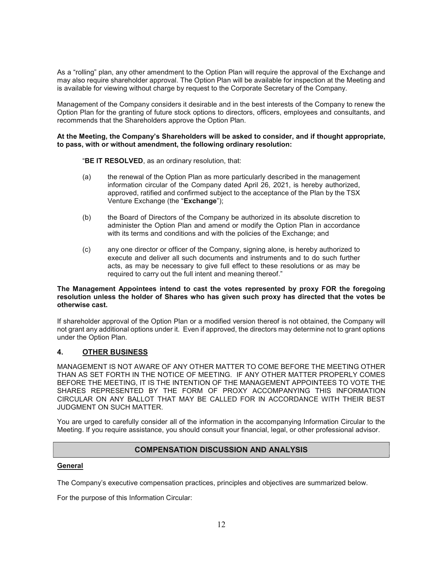As a "rolling" plan, any other amendment to the Option Plan will require the approval of the Exchange and may also require shareholder approval. The Option Plan will be available for inspection at the Meeting and is available for viewing without charge by request to the Corporate Secretary of the Company.

Management of the Company considers it desirable and in the best interests of the Company to renew the Option Plan for the granting of future stock options to directors, officers, employees and consultants, and recommends that the Shareholders approve the Option Plan.

#### At the Meeting, the Company's Shareholders will be asked to consider, and if thought appropriate, to pass, with or without amendment, the following ordinary resolution:

"BE IT RESOLVED, as an ordinary resolution, that:

- (a) the renewal of the Option Plan as more particularly described in the management information circular of the Company dated April 26, 2021, is hereby authorized, approved, ratified and confirmed subject to the acceptance of the Plan by the TSX Venture Exchange (the "Exchange");
- (b) the Board of Directors of the Company be authorized in its absolute discretion to administer the Option Plan and amend or modify the Option Plan in accordance with its terms and conditions and with the policies of the Exchange; and
- (c) any one director or officer of the Company, signing alone, is hereby authorized to execute and deliver all such documents and instruments and to do such further acts, as may be necessary to give full effect to these resolutions or as may be required to carry out the full intent and meaning thereof."

## The Management Appointees intend to cast the votes represented by proxy FOR the foregoing resolution unless the holder of Shares who has given such proxy has directed that the votes be otherwise cast.

If shareholder approval of the Option Plan or a modified version thereof is not obtained, the Company will not grant any additional options under it. Even if approved, the directors may determine not to grant options under the Option Plan.

# 4. OTHER BUSINESS

MANAGEMENT IS NOT AWARE OF ANY OTHER MATTER TO COME BEFORE THE MEETING OTHER THAN AS SET FORTH IN THE NOTICE OF MEETING. IF ANY OTHER MATTER PROPERLY COMES BEFORE THE MEETING, IT IS THE INTENTION OF THE MANAGEMENT APPOINTEES TO VOTE THE SHARES REPRESENTED BY THE FORM OF PROXY ACCOMPANYING THIS INFORMATION CIRCULAR ON ANY BALLOT THAT MAY BE CALLED FOR IN ACCORDANCE WITH THEIR BEST JUDGMENT ON SUCH MATTER.

You are urged to carefully consider all of the information in the accompanying Information Circular to the Meeting. If you require assistance, you should consult your financial, legal, or other professional advisor.

# COMPENSATION DISCUSSION AND ANALYSIS

## General

The Company's executive compensation practices, principles and objectives are summarized below.

For the purpose of this Information Circular: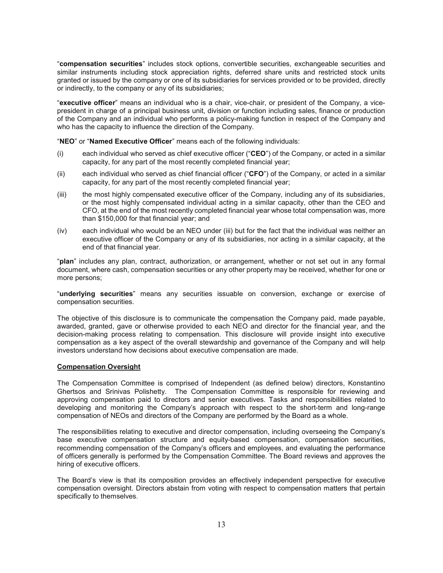"compensation securities" includes stock options, convertible securities, exchangeable securities and similar instruments including stock appreciation rights, deferred share units and restricted stock units granted or issued by the company or one of its subsidiaries for services provided or to be provided, directly or indirectly, to the company or any of its subsidiaries;

"executive officer" means an individual who is a chair, vice-chair, or president of the Company, a vicepresident in charge of a principal business unit, division or function including sales, finance or production of the Company and an individual who performs a policy-making function in respect of the Company and who has the capacity to influence the direction of the Company.

"NEO" or "Named Executive Officer" means each of the following individuals:

- (i) each individual who served as chief executive officer (" $CEO$ ") of the Company, or acted in a similar capacity, for any part of the most recently completed financial year;
- (ii) each individual who served as chief financial officer (" $CFO$ ") of the Company, or acted in a similar capacity, for any part of the most recently completed financial year;
- (iii) the most highly compensated executive officer of the Company, including any of its subsidiaries, or the most highly compensated individual acting in a similar capacity, other than the CEO and CFO, at the end of the most recently completed financial year whose total compensation was, more than \$150,000 for that financial year; and
- (iv) each individual who would be an NEO under (iii) but for the fact that the individual was neither an executive officer of the Company or any of its subsidiaries, nor acting in a similar capacity, at the end of that financial year.

"plan" includes any plan, contract, authorization, or arrangement, whether or not set out in any formal document, where cash, compensation securities or any other property may be received, whether for one or more persons;

"underlying securities" means any securities issuable on conversion, exchange or exercise of compensation securities.

The objective of this disclosure is to communicate the compensation the Company paid, made payable, awarded, granted, gave or otherwise provided to each NEO and director for the financial year, and the decision-making process relating to compensation. This disclosure will provide insight into executive compensation as a key aspect of the overall stewardship and governance of the Company and will help investors understand how decisions about executive compensation are made.

#### Compensation Oversight

The Compensation Committee is comprised of Independent (as defined below) directors, Konstantino Ghertsos and Srinivas Polishetty. The Compensation Committee is responsible for reviewing and approving compensation paid to directors and senior executives. Tasks and responsibilities related to developing and monitoring the Company's approach with respect to the short-term and long-range compensation of NEOs and directors of the Company are performed by the Board as a whole.

The responsibilities relating to executive and director compensation, including overseeing the Company's base executive compensation structure and equity-based compensation, compensation securities, recommending compensation of the Company's officers and employees, and evaluating the performance of officers generally is performed by the Compensation Committee. The Board reviews and approves the hiring of executive officers.

The Board's view is that its composition provides an effectively independent perspective for executive compensation oversight. Directors abstain from voting with respect to compensation matters that pertain specifically to themselves.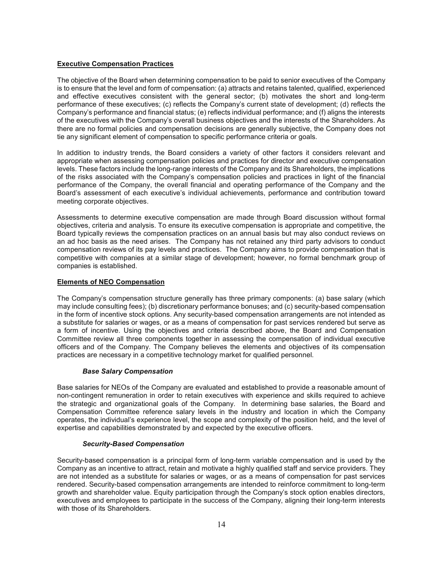## Executive Compensation Practices

The objective of the Board when determining compensation to be paid to senior executives of the Company is to ensure that the level and form of compensation: (a) attracts and retains talented, qualified, experienced and effective executives consistent with the general sector; (b) motivates the short and long-term performance of these executives; (c) reflects the Company's current state of development; (d) reflects the Company's performance and financial status; (e) reflects individual performance; and (f) aligns the interests of the executives with the Company's overall business objectives and the interests of the Shareholders. As there are no formal policies and compensation decisions are generally subjective, the Company does not tie any significant element of compensation to specific performance criteria or goals.

In addition to industry trends, the Board considers a variety of other factors it considers relevant and appropriate when assessing compensation policies and practices for director and executive compensation levels. These factors include the long-range interests of the Company and its Shareholders, the implications of the risks associated with the Company's compensation policies and practices in light of the financial performance of the Company, the overall financial and operating performance of the Company and the Board's assessment of each executive's individual achievements, performance and contribution toward meeting corporate objectives.

Assessments to determine executive compensation are made through Board discussion without formal objectives, criteria and analysis. To ensure its executive compensation is appropriate and competitive, the Board typically reviews the compensation practices on an annual basis but may also conduct reviews on an ad hoc basis as the need arises. The Company has not retained any third party advisors to conduct compensation reviews of its pay levels and practices. The Company aims to provide compensation that is competitive with companies at a similar stage of development; however, no formal benchmark group of companies is established.

#### Elements of NEO Compensation

The Company's compensation structure generally has three primary components: (a) base salary (which may include consulting fees); (b) discretionary performance bonuses; and (c) security-based compensation in the form of incentive stock options. Any security-based compensation arrangements are not intended as a substitute for salaries or wages, or as a means of compensation for past services rendered but serve as a form of incentive. Using the objectives and criteria described above, the Board and Compensation Committee review all three components together in assessing the compensation of individual executive officers and of the Company. The Company believes the elements and objectives of its compensation practices are necessary in a competitive technology market for qualified personnel.

## Base Salary Compensation

Base salaries for NEOs of the Company are evaluated and established to provide a reasonable amount of non-contingent remuneration in order to retain executives with experience and skills required to achieve the strategic and organizational goals of the Company. In determining base salaries, the Board and Compensation Committee reference salary levels in the industry and location in which the Company operates, the individual's experience level, the scope and complexity of the position held, and the level of expertise and capabilities demonstrated by and expected by the executive officers.

#### Security-Based Compensation

Security-based compensation is a principal form of long-term variable compensation and is used by the Company as an incentive to attract, retain and motivate a highly qualified staff and service providers. They are not intended as a substitute for salaries or wages, or as a means of compensation for past services rendered. Security-based compensation arrangements are intended to reinforce commitment to long-term growth and shareholder value. Equity participation through the Company's stock option enables directors, executives and employees to participate in the success of the Company, aligning their long-term interests with those of its Shareholders.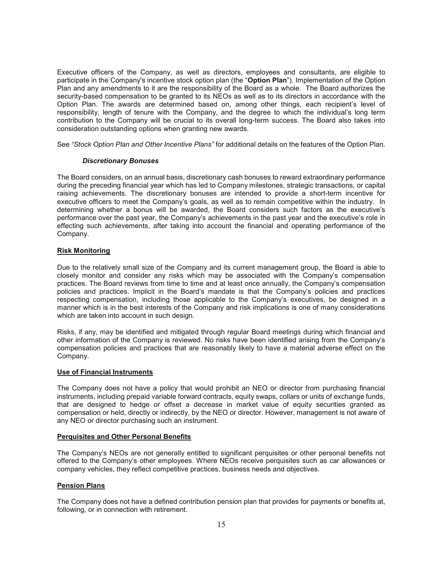Executive officers of the Company, as well as directors, employees and consultants, are eligible to participate in the Company's incentive stock option plan (the "Option Plan"). Implementation of the Option Plan and any amendments to it are the responsibility of the Board as a whole. The Board authorizes the security-based compensation to be granted to its NEOs as well as to its directors in accordance with the Option Plan. The awards are determined based on, among other things, each recipient's level of responsibility, length of tenure with the Company, and the degree to which the individual's long term contribution to the Company will be crucial to its overall long-term success. The Board also takes into consideration outstanding options when granting new awards.

See "Stock Option Plan and Other Incentive Plans" for additional details on the features of the Option Plan.

#### Discretionary Bonuses

The Board considers, on an annual basis, discretionary cash bonuses to reward extraordinary performance during the preceding financial year which has led to Company milestones, strategic transactions, or capital raising achievements. The discretionary bonuses are intended to provide a short-term incentive for executive officers to meet the Company's goals, as well as to remain competitive within the industry. In determining whether a bonus will be awarded, the Board considers such factors as the executive's performance over the past year, the Company's achievements in the past year and the executive's role in effecting such achievements, after taking into account the financial and operating performance of the Company.

#### Risk Monitoring

Due to the relatively small size of the Company and its current management group, the Board is able to closely monitor and consider any risks which may be associated with the Company's compensation practices. The Board reviews from time to time and at least once annually, the Company's compensation policies and practices. Implicit in the Board's mandate is that the Company's policies and practices respecting compensation, including those applicable to the Company's executives, be designed in a manner which is in the best interests of the Company and risk implications is one of many considerations which are taken into account in such design.

Risks, if any, may be identified and mitigated through regular Board meetings during which financial and other information of the Company is reviewed. No risks have been identified arising from the Company's compensation policies and practices that are reasonably likely to have a material adverse effect on the Company.

#### Use of Financial Instruments

The Company does not have a policy that would prohibit an NEO or director from purchasing financial instruments, including prepaid variable forward contracts, equity swaps, collars or units of exchange funds, that are designed to hedge or offset a decrease in market value of equity securities granted as compensation or held, directly or indirectly, by the NEO or director. However, management is not aware of any NEO or director purchasing such an instrument.

#### Perquisites and Other Personal Benefits

The Company's NEOs are not generally entitled to significant perquisites or other personal benefits not offered to the Company's other employees. Where NEOs receive perquisites such as car allowances or company vehicles, they reflect competitive practices, business needs and objectives.

#### Pension Plans

The Company does not have a defined contribution pension plan that provides for payments or benefits at, following, or in connection with retirement.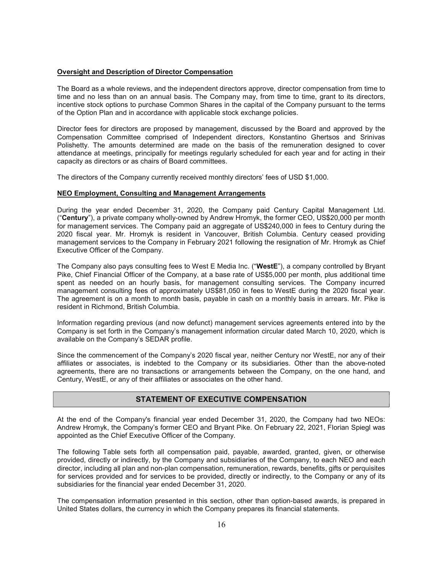#### Oversight and Description of Director Compensation

The Board as a whole reviews, and the independent directors approve, director compensation from time to time and no less than on an annual basis. The Company may, from time to time, grant to its directors, incentive stock options to purchase Common Shares in the capital of the Company pursuant to the terms of the Option Plan and in accordance with applicable stock exchange policies.

Director fees for directors are proposed by management, discussed by the Board and approved by the Compensation Committee comprised of Independent directors, Konstantino Ghertsos and Srinivas Polishetty. The amounts determined are made on the basis of the remuneration designed to cover attendance at meetings, principally for meetings regularly scheduled for each year and for acting in their capacity as directors or as chairs of Board committees.

The directors of the Company currently received monthly directors' fees of USD \$1,000.

#### NEO Employment, Consulting and Management Arrangements

During the year ended December 31, 2020, the Company paid Century Capital Management Ltd. ("Century"), a private company wholly-owned by Andrew Hromyk, the former CEO, US\$20,000 per month for management services. The Company paid an aggregate of US\$240,000 in fees to Century during the 2020 fiscal year. Mr. Hromyk is resident in Vancouver, British Columbia. Century ceased providing management services to the Company in February 2021 following the resignation of Mr. Hromyk as Chief Executive Officer of the Company.

The Company also pays consulting fees to West E Media Inc. ("WestE"), a company controlled by Bryant Pike, Chief Financial Officer of the Company, at a base rate of US\$5,000 per month, plus additional time spent as needed on an hourly basis, for management consulting services. The Company incurred management consulting fees of approximately US\$81,050 in fees to WestE during the 2020 fiscal year. The agreement is on a month to month basis, payable in cash on a monthly basis in arrears. Mr. Pike is resident in Richmond, British Columbia.

Information regarding previous (and now defunct) management services agreements entered into by the Company is set forth in the Company's management information circular dated March 10, 2020, which is available on the Company's SEDAR profile.

Since the commencement of the Company's 2020 fiscal year, neither Century nor WestE, nor any of their affiliates or associates, is indebted to the Company or its subsidiaries. Other than the above-noted agreements, there are no transactions or arrangements between the Company, on the one hand, and Century, WestE, or any of their affiliates or associates on the other hand.

## STATEMENT OF EXECUTIVE COMPENSATION

At the end of the Company's financial year ended December 31, 2020, the Company had two NEOs: Andrew Hromyk, the Company's former CEO and Bryant Pike. On February 22, 2021, Florian Spiegl was appointed as the Chief Executive Officer of the Company.

The following Table sets forth all compensation paid, payable, awarded, granted, given, or otherwise provided, directly or indirectly, by the Company and subsidiaries of the Company, to each NEO and each director, including all plan and non-plan compensation, remuneration, rewards, benefits, gifts or perquisites for services provided and for services to be provided, directly or indirectly, to the Company or any of its subsidiaries for the financial year ended December 31, 2020.

The compensation information presented in this section, other than option-based awards, is prepared in United States dollars, the currency in which the Company prepares its financial statements.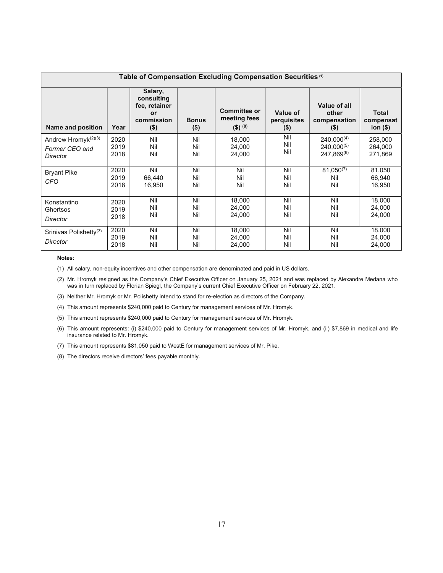| Table of Compensation Excluding Compensation Securities <sup>(1)</sup> |                      |                                                                       |                         |                                                         |                                    |                                                       |                                    |
|------------------------------------------------------------------------|----------------------|-----------------------------------------------------------------------|-------------------------|---------------------------------------------------------|------------------------------------|-------------------------------------------------------|------------------------------------|
| Name and position                                                      | Year                 | Salary,<br>consulting<br>fee, retainer<br>or<br>commission<br>$($ \$) | <b>Bonus</b><br>$($ \$) | <b>Committee or</b><br>meeting fees<br>$($ \$) $^{(8)}$ | Value of<br>perquisites<br>$($ \$) | Value of all<br>other<br>compensation<br>$($ \$)      | <b>Total</b><br>compensat<br>ion() |
| Andrew Hromyk <sup>(2)(3)</sup><br>Former CEO and<br>Director          | 2020<br>2019<br>2018 | Nil<br>Nil<br>Nil                                                     | Nil<br>Nil<br>Nil       | 18,000<br>24,000<br>24,000                              | Nil<br>Nil<br>Nil                  | $240.000^{(4)}$<br>$240.000^{(5)}$<br>$247.869^{(6)}$ | 258,000<br>264,000<br>271.869      |
| <b>Bryant Pike</b><br>CFO                                              | 2020<br>2019<br>2018 | Nil<br>66.440<br>16,950                                               | Nil<br>Nil<br>Nil       | Nil<br>Nil<br>Nil                                       | Nil<br>Nil<br>Nil                  | $81,050^{(7)}$<br>Nil<br>Nil                          | 81,050<br>66.940<br>16,950         |
| Konstantino<br>Ghertsos<br>Director                                    | 2020<br>2019<br>2018 | Nil<br>Nil<br>Nil                                                     | Nil<br>Nil<br>Nil       | 18,000<br>24.000<br>24,000                              | Nil<br>Nil<br>Nil                  | Nil<br>Nil<br>Nil                                     | 18,000<br>24.000<br>24,000         |
| Srinivas Polishetty <sup>(3)</sup><br>Director                         | 2020<br>2019<br>2018 | Nil<br>Nil<br>Nil                                                     | Nil<br>Nil<br>Nil       | 18,000<br>24,000<br>24,000                              | Nil<br>Nil<br>Nil                  | Nil<br>Nil<br>Nil                                     | 18,000<br>24,000<br>24,000         |

#### Notes:

(1) All salary, non-equity incentives and other compensation are denominated and paid in US dollars.

(2) Mr. Hromyk resigned as the Company's Chief Executive Officer on January 25, 2021 and was replaced by Alexandre Medana who was in turn replaced by Florian Spiegl, the Company's current Chief Executive Officer on February 22, 2021.

(3) Neither Mr. Hromyk or Mr. Polishetty intend to stand for re-election as directors of the Company.

- (4) This amount represents \$240,000 paid to Century for management services of Mr. Hromyk.
- (5) This amount represents \$240,000 paid to Century for management services of Mr. Hromyk.
- (6) This amount represents: (i) \$240,000 paid to Century for management services of Mr. Hromyk, and (ii) \$7,869 in medical and life insurance related to Mr. Hromyk.
- (7) This amount represents \$81,050 paid to WestE for management services of Mr. Pike.
- (8) The directors receive directors' fees payable monthly.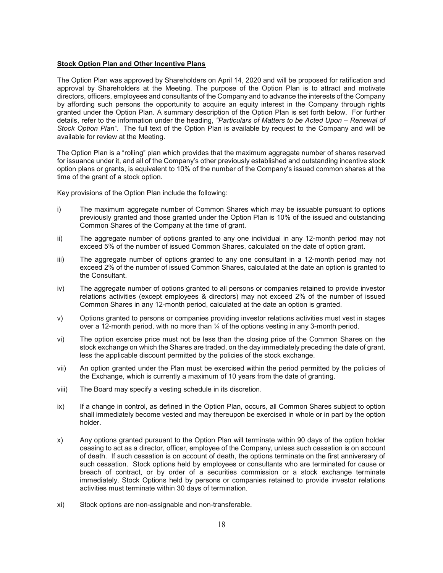#### **Stock Option Plan and Other Incentive Plans**

The Option Plan was approved by Shareholders on April 14, 2020 and will be proposed for ratification and approval by Shareholders at the Meeting. The purpose of the Option Plan is to attract and motivate directors, officers, employees and consultants of the Company and to advance the interests of the Company by affording such persons the opportunity to acquire an equity interest in the Company through rights granted under the Option Plan. A summary description of the Option Plan is set forth below. For further details, refer to the information under the heading, "Particulars of Matters to be Acted Upon – Renewal of Stock Option Plan". The full text of the Option Plan is available by request to the Company and will be available for review at the Meeting.

The Option Plan is a "rolling" plan which provides that the maximum aggregate number of shares reserved for issuance under it, and all of the Company's other previously established and outstanding incentive stock option plans or grants, is equivalent to 10% of the number of the Company's issued common shares at the time of the grant of a stock option.

Key provisions of the Option Plan include the following:

- i) The maximum aggregate number of Common Shares which may be issuable pursuant to options previously granted and those granted under the Option Plan is 10% of the issued and outstanding Common Shares of the Company at the time of grant.
- ii) The aggregate number of options granted to any one individual in any 12-month period may not exceed 5% of the number of issued Common Shares, calculated on the date of option grant.
- iii) The aggregate number of options granted to any one consultant in a 12-month period may not exceed 2% of the number of issued Common Shares, calculated at the date an option is granted to the Consultant.
- iv) The aggregate number of options granted to all persons or companies retained to provide investor relations activities (except employees & directors) may not exceed 2% of the number of issued Common Shares in any 12-month period, calculated at the date an option is granted.
- v) Options granted to persons or companies providing investor relations activities must vest in stages over a 12-month period, with no more than  $\frac{1}{4}$  of the options vesting in any 3-month period.
- vi) The option exercise price must not be less than the closing price of the Common Shares on the stock exchange on which the Shares are traded, on the day immediately preceding the date of grant, less the applicable discount permitted by the policies of the stock exchange.
- vii) An option granted under the Plan must be exercised within the period permitted by the policies of the Exchange, which is currently a maximum of 10 years from the date of granting.
- viii) The Board may specify a vesting schedule in its discretion.
- ix) If a change in control, as defined in the Option Plan, occurs, all Common Shares subject to option shall immediately become vested and may thereupon be exercised in whole or in part by the option holder.
- x) Any options granted pursuant to the Option Plan will terminate within 90 days of the option holder ceasing to act as a director, officer, employee of the Company, unless such cessation is on account of death. If such cessation is on account of death, the options terminate on the first anniversary of such cessation. Stock options held by employees or consultants who are terminated for cause or breach of contract, or by order of a securities commission or a stock exchange terminate immediately. Stock Options held by persons or companies retained to provide investor relations activities must terminate within 30 days of termination.
- xi) Stock options are non-assignable and non-transferable.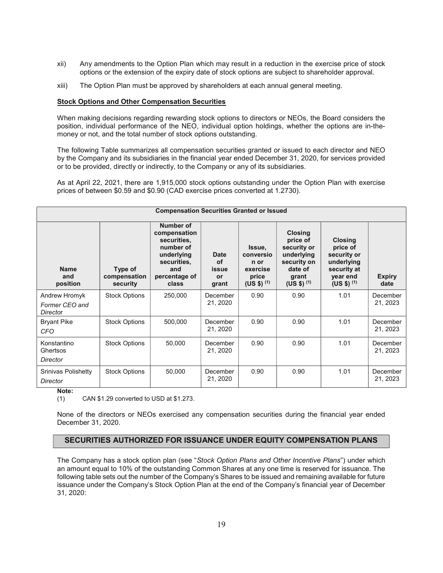- xii) Any amendments to the Option Plan which may result in a reduction in the exercise price of stock options or the extension of the expiry date of stock options are subject to shareholder approval.
- xiii) The Option Plan must be approved by shareholders at each annual general meeting.

## Stock Options and Other Compensation Securities

When making decisions regarding rewarding stock options to directors or NEOs, the Board considers the position, individual performance of the NEO, individual option holdings, whether the options are in-themoney or not, and the total number of stock options outstanding.

The following Table summarizes all compensation securities granted or issued to each director and NEO by the Company and its subsidiaries in the financial year ended December 31, 2020, for services provided or to be provided, directly or indirectly, to the Company or any of its subsidiaries.

As at April 22, 2021, there are 1,915,000 stock options outstanding under the Option Plan with exercise prices of between \$0.59 and \$0.90 (CAD exercise prices converted at 1.2730).

| <b>Compensation Securities Granted or Issued</b> |                                     |                                                                                                                     |                                    |                                                                    |                                                                                                              |                                                                                                      |                       |
|--------------------------------------------------|-------------------------------------|---------------------------------------------------------------------------------------------------------------------|------------------------------------|--------------------------------------------------------------------|--------------------------------------------------------------------------------------------------------------|------------------------------------------------------------------------------------------------------|-----------------------|
| <b>Name</b><br>and<br>position                   | Type of<br>compensation<br>security | Number of<br>compensation<br>securities.<br>number of<br>underlying<br>securities.<br>and<br>percentage of<br>class | Date<br>οf<br>issue<br>or<br>grant | Issue,<br>conversio<br>n or<br>exercise<br>price<br>$(US $)$ $(1)$ | <b>Closing</b><br>price of<br>security or<br>underlying<br>security on<br>date of<br>grant<br>$(US $)$ $(1)$ | <b>Closing</b><br>price of<br>security or<br>underlying<br>security at<br>year end<br>$(US $)$ $(1)$ | <b>Expiry</b><br>date |
| Andrew Hromyk<br>Former CEO and<br>Director      | <b>Stock Options</b>                | 250,000                                                                                                             | December<br>21, 2020               | 0.90                                                               | 0.90                                                                                                         | 1.01                                                                                                 | December<br>21, 2023  |
| <b>Bryant Pike</b><br>CFO                        | <b>Stock Options</b>                | 500,000                                                                                                             | December<br>21, 2020               | 0.90                                                               | 0.90                                                                                                         | 1.01                                                                                                 | December<br>21, 2023  |
| Konstantino<br>Ghertsos<br>Director              | <b>Stock Options</b>                | 50,000                                                                                                              | December<br>21, 2020               | 0.90                                                               | 0.90                                                                                                         | 1.01                                                                                                 | December<br>21, 2023  |
| Srinivas Polishetty<br>Director                  | <b>Stock Options</b>                | 50,000                                                                                                              | December<br>21, 2020               | 0.90                                                               | 0.90                                                                                                         | 1.01                                                                                                 | December<br>21, 2023  |

Note:

(1) CAN \$1.29 converted to USD at \$1.273.

None of the directors or NEOs exercised any compensation securities during the financial year ended December 31, 2020.

## SECURITIES AUTHORIZED FOR ISSUANCE UNDER EQUITY COMPENSATION PLANS

The Company has a stock option plan (see "Stock Option Plans and Other Incentive Plans") under which an amount equal to 10% of the outstanding Common Shares at any one time is reserved for issuance. The following table sets out the number of the Company's Shares to be issued and remaining available for future issuance under the Company's Stock Option Plan at the end of the Company's financial year of December 31, 2020: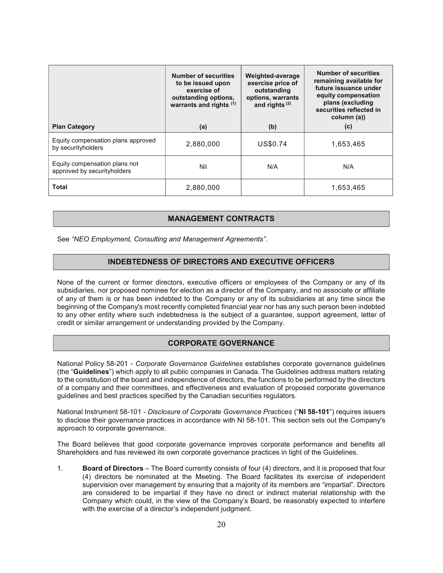|                                                              | <b>Number of securities</b><br>to be issued upon<br>exercise of<br>outstanding options,<br>warrants and rights (1) | Weighted-average<br>exercise price of<br>outstanding<br>options, warrants<br>and rights $(2)$ | <b>Number of securities</b><br>remaining available for<br>future issuance under<br>equity compensation<br>plans (excluding<br>securities reflected in<br>column (a)) |
|--------------------------------------------------------------|--------------------------------------------------------------------------------------------------------------------|-----------------------------------------------------------------------------------------------|----------------------------------------------------------------------------------------------------------------------------------------------------------------------|
| <b>Plan Category</b>                                         | (a)                                                                                                                | (b)                                                                                           | (c)                                                                                                                                                                  |
| Equity compensation plans approved<br>by securityholders     | 2,880,000                                                                                                          | US\$0.74                                                                                      | 1,653,465                                                                                                                                                            |
| Equity compensation plans not<br>approved by securityholders | Nil                                                                                                                | N/A                                                                                           | N/A                                                                                                                                                                  |
| <b>Total</b>                                                 | 2,880,000                                                                                                          |                                                                                               | 1,653,465                                                                                                                                                            |

# MANAGEMENT CONTRACTS

See "NEO Employment, Consulting and Management Agreements".

## INDEBTEDNESS OF DIRECTORS AND EXECUTIVE OFFICERS

None of the current or former directors, executive officers or employees of the Company or any of its subsidiaries, nor proposed nominee for election as a director of the Company, and no associate or affiliate of any of them is or has been indebted to the Company or any of its subsidiaries at any time since the beginning of the Company's most recently completed financial year nor has any such person been indebted to any other entity where such indebtedness is the subject of a guarantee, support agreement, letter of credit or similar arrangement or understanding provided by the Company.

# CORPORATE GOVERNANCE

National Policy 58-201 - Corporate Governance Guidelines establishes corporate governance guidelines (the "Guidelines") which apply to all public companies in Canada. The Guidelines address matters relating to the constitution of the board and independence of directors, the functions to be performed by the directors of a company and their committees, and effectiveness and evaluation of proposed corporate governance guidelines and best practices specified by the Canadian securities regulators.

National Instrument 58-101 - Disclosure of Corporate Governance Practices ("NI 58-101") requires issuers to disclose their governance practices in accordance with NI 58-101. This section sets out the Company's approach to corporate governance.

The Board believes that good corporate governance improves corporate performance and benefits all Shareholders and has reviewed its own corporate governance practices in light of the Guidelines.

1. Board of Directors – The Board currently consists of four (4) directors, and it is proposed that four (4) directors be nominated at the Meeting. The Board facilitates its exercise of independent supervision over management by ensuring that a majority of its members are "impartial". Directors are considered to be impartial if they have no direct or indirect material relationship with the Company which could, in the view of the Company's Board, be reasonably expected to interfere with the exercise of a director's independent judgment.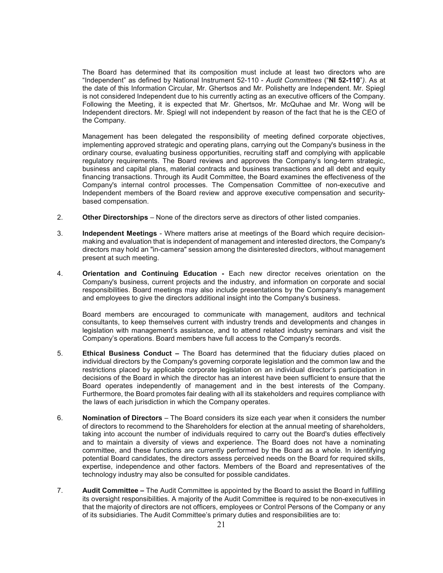The Board has determined that its composition must include at least two directors who are "Independent" as defined by National Instrument 52-110 - Audit Committees ("NI 52-110"). As at the date of this Information Circular, Mr. Ghertsos and Mr. Polishetty are Independent. Mr. Spiegl is not considered Independent due to his currently acting as an executive officers of the Company. Following the Meeting, it is expected that Mr. Ghertsos, Mr. McQuhae and Mr. Wong will be Independent directors. Mr. Spiegl will not independent by reason of the fact that he is the CEO of the Company.

Management has been delegated the responsibility of meeting defined corporate objectives, implementing approved strategic and operating plans, carrying out the Company's business in the ordinary course, evaluating business opportunities, recruiting staff and complying with applicable regulatory requirements. The Board reviews and approves the Company's long-term strategic, business and capital plans, material contracts and business transactions and all debt and equity financing transactions. Through its Audit Committee, the Board examines the effectiveness of the Company's internal control processes. The Compensation Committee of non-executive and Independent members of the Board review and approve executive compensation and securitybased compensation.

- 2. Other Directorships None of the directors serve as directors of other listed companies.
- 3. Independent Meetings Where matters arise at meetings of the Board which require decisionmaking and evaluation that is independent of management and interested directors, the Company's directors may hold an "in-camera" session among the disinterested directors, without management present at such meeting.
- 4. Orientation and Continuing Education Each new director receives orientation on the Company's business, current projects and the industry, and information on corporate and social responsibilities. Board meetings may also include presentations by the Company's management and employees to give the directors additional insight into the Company's business.

Board members are encouraged to communicate with management, auditors and technical consultants, to keep themselves current with industry trends and developments and changes in legislation with management's assistance, and to attend related industry seminars and visit the Company's operations. Board members have full access to the Company's records.

- 5. Ethical Business Conduct The Board has determined that the fiduciary duties placed on individual directors by the Company's governing corporate legislation and the common law and the restrictions placed by applicable corporate legislation on an individual director's participation in decisions of the Board in which the director has an interest have been sufficient to ensure that the Board operates independently of management and in the best interests of the Company. Furthermore, the Board promotes fair dealing with all its stakeholders and requires compliance with the laws of each jurisdiction in which the Company operates.
- 6. Nomination of Directors The Board considers its size each year when it considers the number of directors to recommend to the Shareholders for election at the annual meeting of shareholders, taking into account the number of individuals required to carry out the Board's duties effectively and to maintain a diversity of views and experience. The Board does not have a nominating committee, and these functions are currently performed by the Board as a whole. In identifying potential Board candidates, the directors assess perceived needs on the Board for required skills, expertise, independence and other factors. Members of the Board and representatives of the technology industry may also be consulted for possible candidates.
- 7. Audit Committee The Audit Committee is appointed by the Board to assist the Board in fulfilling its oversight responsibilities. A majority of the Audit Committee is required to be non-executives in that the majority of directors are not officers, employees or Control Persons of the Company or any of its subsidiaries. The Audit Committee's primary duties and responsibilities are to: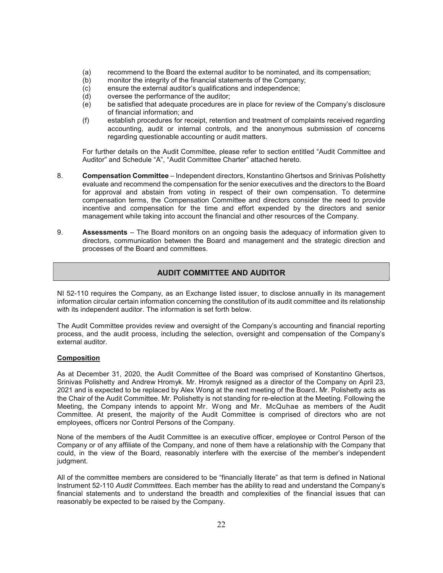- (a) recommend to the Board the external auditor to be nominated, and its compensation;
- (b) monitor the integrity of the financial statements of the Company;
- (c) ensure the external auditor's qualifications and independence;
- (d) oversee the performance of the auditor;
- (e) be satisfied that adequate procedures are in place for review of the Company's disclosure of financial information; and
- (f) establish procedures for receipt, retention and treatment of complaints received regarding accounting, audit or internal controls, and the anonymous submission of concerns regarding questionable accounting or audit matters.

For further details on the Audit Committee, please refer to section entitled "Audit Committee and Auditor" and Schedule "A", "Audit Committee Charter" attached hereto.

- 8. Compensation Committee Independent directors, Konstantino Ghertsos and Srinivas Polishetty evaluate and recommend the compensation for the senior executives and the directors to the Board for approval and abstain from voting in respect of their own compensation. To determine compensation terms, the Compensation Committee and directors consider the need to provide incentive and compensation for the time and effort expended by the directors and senior management while taking into account the financial and other resources of the Company.
- 9. Assessments The Board monitors on an ongoing basis the adequacy of information given to directors, communication between the Board and management and the strategic direction and processes of the Board and committees.

# AUDIT COMMITTEE AND AUDITOR

NI 52-110 requires the Company, as an Exchange listed issuer, to disclose annually in its management information circular certain information concerning the constitution of its audit committee and its relationship with its independent auditor. The information is set forth below.

The Audit Committee provides review and oversight of the Company's accounting and financial reporting process, and the audit process, including the selection, oversight and compensation of the Company's external auditor.

## Composition

As at December 31, 2020, the Audit Committee of the Board was comprised of Konstantino Ghertsos, Srinivas Polishetty and Andrew Hromyk. Mr. Hromyk resigned as a director of the Company on April 23, 2021 and is expected to be replaced by Alex Wong at the next meeting of the Board. Mr. Polishetty acts as the Chair of the Audit Committee. Mr. Polishetty is not standing for re-election at the Meeting. Following the Meeting, the Company intends to appoint Mr. Wong and Mr. McQuhae as members of the Audit Committee. At present, the majority of the Audit Committee is comprised of directors who are not employees, officers nor Control Persons of the Company.

None of the members of the Audit Committee is an executive officer, employee or Control Person of the Company or of any affiliate of the Company, and none of them have a relationship with the Company that could, in the view of the Board, reasonably interfere with the exercise of the member's independent judgment.

All of the committee members are considered to be "financially literate" as that term is defined in National Instrument 52-110 Audit Committees. Each member has the ability to read and understand the Company's financial statements and to understand the breadth and complexities of the financial issues that can reasonably be expected to be raised by the Company.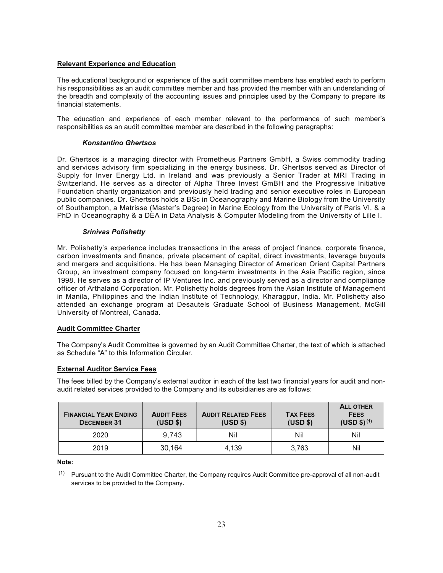## Relevant Experience and Education

The educational background or experience of the audit committee members has enabled each to perform his responsibilities as an audit committee member and has provided the member with an understanding of the breadth and complexity of the accounting issues and principles used by the Company to prepare its financial statements.

The education and experience of each member relevant to the performance of such member's responsibilities as an audit committee member are described in the following paragraphs:

#### Konstantino Ghertsos

Dr. Ghertsos is a managing director with Prometheus Partners GmbH, a Swiss commodity trading and services advisory firm specializing in the energy business. Dr. Ghertsos served as Director of Supply for Inver Energy Ltd. in Ireland and was previously a Senior Trader at MRI Trading in Switzerland. He serves as a director of Alpha Three Invest GmBH and the Progressive Initiative Foundation charity organization and previously held trading and senior executive roles in European public companies. Dr. Ghertsos holds a BSc in Oceanography and Marine Biology from the University of Southampton, a Matrisse (Master's Degree) in Marine Ecology from the University of Paris VI, & a PhD in Oceanography & a DEA in Data Analysis & Computer Modeling from the University of Lille I.

#### Srinivas Polishetty

Mr. Polishetty's experience includes transactions in the areas of project finance, corporate finance, carbon investments and finance, private placement of capital, direct investments, leverage buyouts and mergers and acquisitions. He has been Managing Director of American Orient Capital Partners Group, an investment company focused on long-term investments in the Asia Pacific region, since 1998. He serves as a director of IP Ventures Inc. and previously served as a director and compliance officer of Arthaland Corporation. Mr. Polishetty holds degrees from the Asian Institute of Management in Manila, Philippines and the Indian Institute of Technology, Kharagpur, India. Mr. Polishetty also attended an exchange program at Desautels Graduate School of Business Management, McGill University of Montreal, Canada.

#### Audit Committee Charter

The Company's Audit Committee is governed by an Audit Committee Charter, the text of which is attached as Schedule "A" to this Information Circular.

#### External Auditor Service Fees

The fees billed by the Company's external auditor in each of the last two financial years for audit and nonaudit related services provided to the Company and its subsidiaries are as follows:

| <b>FINANCIAL YEAR ENDING</b><br><b>DECEMBER 31</b> | <b>AUDIT FEES</b><br>(USD \$) | <b>AUDIT RELATED FEES</b><br>(USD \$) | <b>TAX FEES</b><br>(USD \$) | <b>ALL OTHER</b><br><b>FEES</b><br>$(USD $)^{(1)}$ |
|----------------------------------------------------|-------------------------------|---------------------------------------|-----------------------------|----------------------------------------------------|
| 2020                                               | 9.743                         | Nil                                   | Nil                         | Nil                                                |
| 2019                                               | 30,164                        | 4.139                                 | 3.763                       | Nil                                                |

Note:

(1) Pursuant to the Audit Committee Charter, the Company requires Audit Committee pre-approval of all non-audit services to be provided to the Company.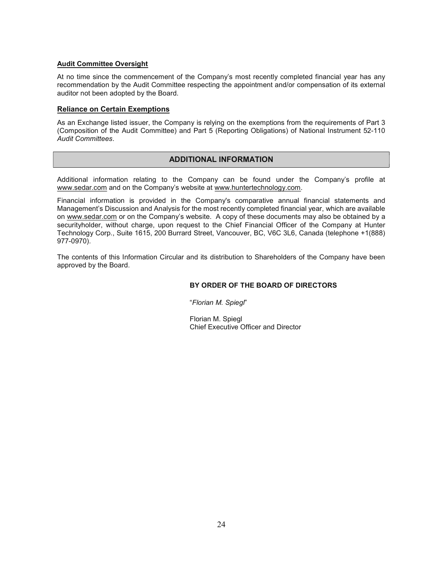## Audit Committee Oversight

At no time since the commencement of the Company's most recently completed financial year has any recommendation by the Audit Committee respecting the appointment and/or compensation of its external auditor not been adopted by the Board.

## Reliance on Certain Exemptions

As an Exchange listed issuer, the Company is relying on the exemptions from the requirements of Part 3 (Composition of the Audit Committee) and Part 5 (Reporting Obligations) of National Instrument 52-110 Audit Committees.

# ADDITIONAL INFORMATION

Additional information relating to the Company can be found under the Company's profile at www.sedar.com and on the Company's website at www.huntertechnology.com.

Financial information is provided in the Company's comparative annual financial statements and Management's Discussion and Analysis for the most recently completed financial year, which are available on www.sedar.com or on the Company's website. A copy of these documents may also be obtained by a securityholder, without charge, upon request to the Chief Financial Officer of the Company at Hunter Technology Corp., Suite 1615, 200 Burrard Street, Vancouver, BC, V6C 3L6, Canada (telephone +1(888) 977-0970).

The contents of this Information Circular and its distribution to Shareholders of the Company have been approved by the Board.

## BY ORDER OF THE BOARD OF DIRECTORS

"Florian M. Spiegl"

Florian M. Spiegl Chief Executive Officer and Director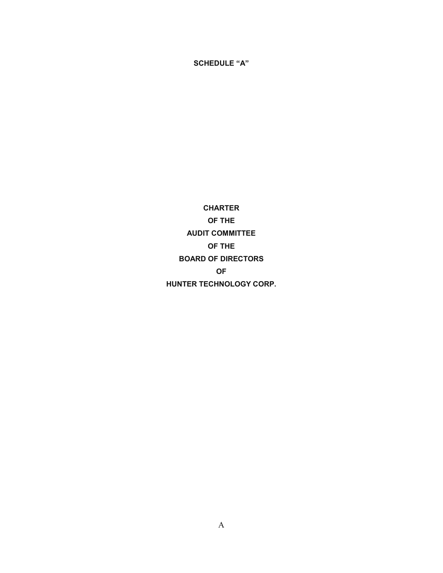CHARTER OF THE AUDIT COMMITTEE OF THE BOARD OF DIRECTORS OF HUNTER TECHNOLOGY CORP.

SCHEDULE "A"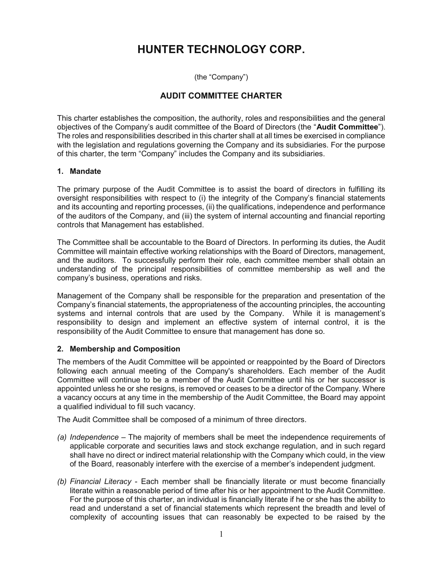# HUNTER TECHNOLOGY CORP.

(the "Company")

# AUDIT COMMITTEE CHARTER

This charter establishes the composition, the authority, roles and responsibilities and the general objectives of the Company's audit committee of the Board of Directors (the "Audit Committee"). The roles and responsibilities described in this charter shall at all times be exercised in compliance with the legislation and regulations governing the Company and its subsidiaries. For the purpose of this charter, the term "Company" includes the Company and its subsidiaries.

# 1. Mandate

The primary purpose of the Audit Committee is to assist the board of directors in fulfilling its oversight responsibilities with respect to (i) the integrity of the Company's financial statements and its accounting and reporting processes, (ii) the qualifications, independence and performance of the auditors of the Company, and (iii) the system of internal accounting and financial reporting controls that Management has established.

The Committee shall be accountable to the Board of Directors. In performing its duties, the Audit Committee will maintain effective working relationships with the Board of Directors, management, and the auditors. To successfully perform their role, each committee member shall obtain an understanding of the principal responsibilities of committee membership as well and the company's business, operations and risks.

Management of the Company shall be responsible for the preparation and presentation of the Company's financial statements, the appropriateness of the accounting principles, the accounting systems and internal controls that are used by the Company. While it is management's responsibility to design and implement an effective system of internal control, it is the responsibility of the Audit Committee to ensure that management has done so.

# 2. Membership and Composition

The members of the Audit Committee will be appointed or reappointed by the Board of Directors following each annual meeting of the Company's shareholders. Each member of the Audit Committee will continue to be a member of the Audit Committee until his or her successor is appointed unless he or she resigns, is removed or ceases to be a director of the Company. Where a vacancy occurs at any time in the membership of the Audit Committee, the Board may appoint a qualified individual to fill such vacancy.

The Audit Committee shall be composed of a minimum of three directors.

- (a) Independence The majority of members shall be meet the independence requirements of applicable corporate and securities laws and stock exchange regulation, and in such regard shall have no direct or indirect material relationship with the Company which could, in the view of the Board, reasonably interfere with the exercise of a member's independent judgment.
- (b) Financial Literacy Each member shall be financially literate or must become financially literate within a reasonable period of time after his or her appointment to the Audit Committee. For the purpose of this charter, an individual is financially literate if he or she has the ability to read and understand a set of financial statements which represent the breadth and level of complexity of accounting issues that can reasonably be expected to be raised by the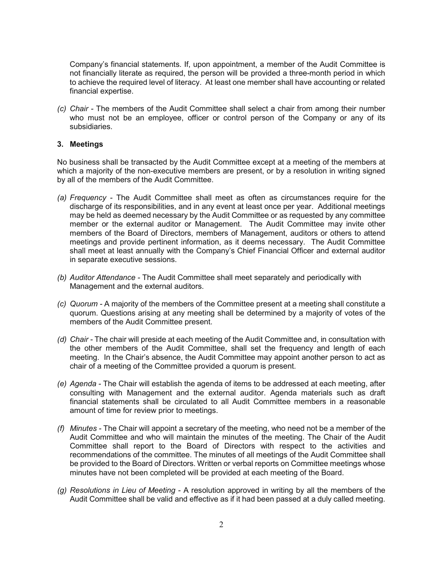Company's financial statements. If, upon appointment, a member of the Audit Committee is not financially literate as required, the person will be provided a three-month period in which to achieve the required level of literacy. At least one member shall have accounting or related financial expertise.

(c) Chair - The members of the Audit Committee shall select a chair from among their number who must not be an employee, officer or control person of the Company or any of its subsidiaries.

# 3. Meetings

No business shall be transacted by the Audit Committee except at a meeting of the members at which a majority of the non-executive members are present, or by a resolution in writing signed by all of the members of the Audit Committee.

- (a) Frequency The Audit Committee shall meet as often as circumstances require for the discharge of its responsibilities, and in any event at least once per year. Additional meetings may be held as deemed necessary by the Audit Committee or as requested by any committee member or the external auditor or Management. The Audit Committee may invite other members of the Board of Directors, members of Management, auditors or others to attend meetings and provide pertinent information, as it deems necessary. The Audit Committee shall meet at least annually with the Company's Chief Financial Officer and external auditor in separate executive sessions.
- (b) Auditor Attendance The Audit Committee shall meet separately and periodically with Management and the external auditors.
- (c) Quorum A majority of the members of the Committee present at a meeting shall constitute a quorum. Questions arising at any meeting shall be determined by a majority of votes of the members of the Audit Committee present.
- (d) Chair The chair will preside at each meeting of the Audit Committee and, in consultation with the other members of the Audit Committee, shall set the frequency and length of each meeting. In the Chair's absence, the Audit Committee may appoint another person to act as chair of a meeting of the Committee provided a quorum is present.
- (e) Agenda The Chair will establish the agenda of items to be addressed at each meeting, after consulting with Management and the external auditor. Agenda materials such as draft financial statements shall be circulated to all Audit Committee members in a reasonable amount of time for review prior to meetings.
- (f) Minutes The Chair will appoint a secretary of the meeting, who need not be a member of the Audit Committee and who will maintain the minutes of the meeting. The Chair of the Audit Committee shall report to the Board of Directors with respect to the activities and recommendations of the committee. The minutes of all meetings of the Audit Committee shall be provided to the Board of Directors. Written or verbal reports on Committee meetings whose minutes have not been completed will be provided at each meeting of the Board.
- (g) Resolutions in Lieu of Meeting A resolution approved in writing by all the members of the Audit Committee shall be valid and effective as if it had been passed at a duly called meeting.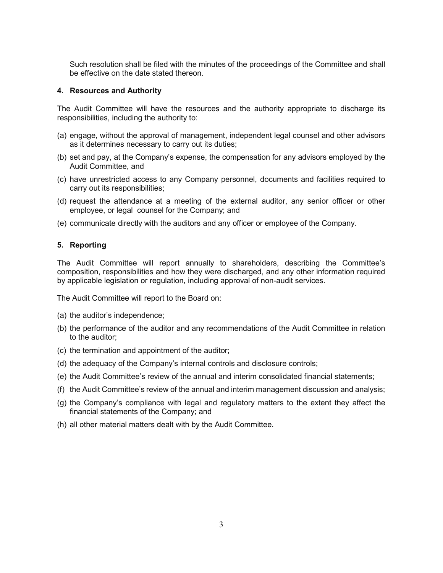Such resolution shall be filed with the minutes of the proceedings of the Committee and shall be effective on the date stated thereon.

## 4. Resources and Authority

The Audit Committee will have the resources and the authority appropriate to discharge its responsibilities, including the authority to:

- (a) engage, without the approval of management, independent legal counsel and other advisors as it determines necessary to carry out its duties;
- (b) set and pay, at the Company's expense, the compensation for any advisors employed by the Audit Committee, and
- (c) have unrestricted access to any Company personnel, documents and facilities required to carry out its responsibilities;
- (d) request the attendance at a meeting of the external auditor, any senior officer or other employee, or legal counsel for the Company; and
- (e) communicate directly with the auditors and any officer or employee of the Company.

# 5. Reporting

The Audit Committee will report annually to shareholders, describing the Committee's composition, responsibilities and how they were discharged, and any other information required by applicable legislation or regulation, including approval of non-audit services.

The Audit Committee will report to the Board on:

- (a) the auditor's independence;
- (b) the performance of the auditor and any recommendations of the Audit Committee in relation to the auditor;
- (c) the termination and appointment of the auditor;
- (d) the adequacy of the Company's internal controls and disclosure controls;
- (e) the Audit Committee's review of the annual and interim consolidated financial statements;
- (f) the Audit Committee's review of the annual and interim management discussion and analysis;
- (g) the Company's compliance with legal and regulatory matters to the extent they affect the financial statements of the Company; and
- (h) all other material matters dealt with by the Audit Committee.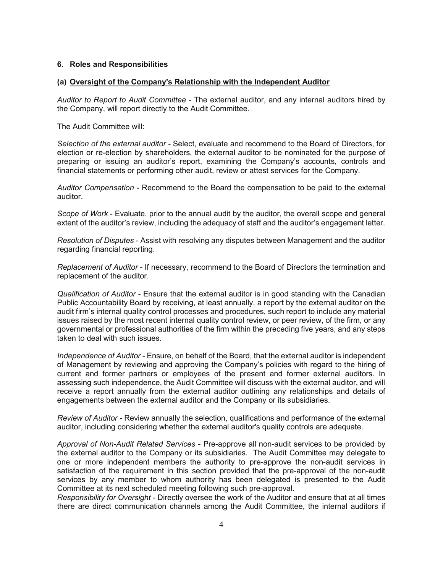# 6. Roles and Responsibilities

## (a) Oversight of the Company's Relationship with the Independent Auditor

Auditor to Report to Audit Committee - The external auditor, and any internal auditors hired by the Company, will report directly to the Audit Committee.

The Audit Committee will:

Selection of the external auditor - Select, evaluate and recommend to the Board of Directors, for election or re-election by shareholders, the external auditor to be nominated for the purpose of preparing or issuing an auditor's report, examining the Company's accounts, controls and financial statements or performing other audit, review or attest services for the Company.

Auditor Compensation - Recommend to the Board the compensation to be paid to the external auditor.

Scope of Work - Evaluate, prior to the annual audit by the auditor, the overall scope and general extent of the auditor's review, including the adequacy of staff and the auditor's engagement letter.

Resolution of Disputes - Assist with resolving any disputes between Management and the auditor regarding financial reporting.

Replacement of Auditor - If necessary, recommend to the Board of Directors the termination and replacement of the auditor.

Qualification of Auditor - Ensure that the external auditor is in good standing with the Canadian Public Accountability Board by receiving, at least annually, a report by the external auditor on the audit firm's internal quality control processes and procedures, such report to include any material issues raised by the most recent internal quality control review, or peer review, of the firm, or any governmental or professional authorities of the firm within the preceding five years, and any steps taken to deal with such issues.

Independence of Auditor - Ensure, on behalf of the Board, that the external auditor is independent of Management by reviewing and approving the Company's policies with regard to the hiring of current and former partners or employees of the present and former external auditors. In assessing such independence, the Audit Committee will discuss with the external auditor, and will receive a report annually from the external auditor outlining any relationships and details of engagements between the external auditor and the Company or its subsidiaries.

Review of Auditor - Review annually the selection, qualifications and performance of the external auditor, including considering whether the external auditor's quality controls are adequate.

Approval of Non-Audit Related Services - Pre-approve all non-audit services to be provided by the external auditor to the Company or its subsidiaries. The Audit Committee may delegate to one or more independent members the authority to pre-approve the non-audit services in satisfaction of the requirement in this section provided that the pre-approval of the non-audit services by any member to whom authority has been delegated is presented to the Audit Committee at its next scheduled meeting following such pre-approval.

Responsibility for Oversight - Directly oversee the work of the Auditor and ensure that at all times there are direct communication channels among the Audit Committee, the internal auditors if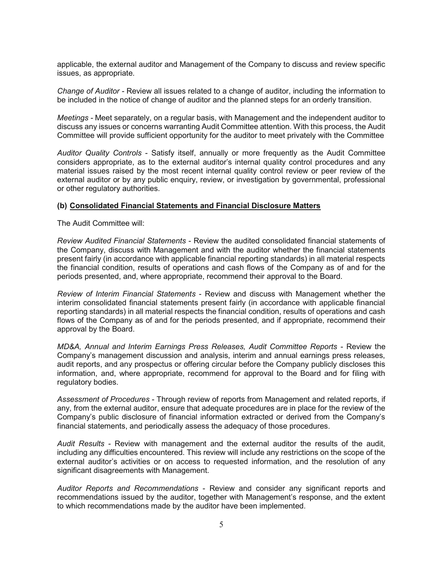applicable, the external auditor and Management of the Company to discuss and review specific issues, as appropriate.

Change of Auditor - Review all issues related to a change of auditor, including the information to be included in the notice of change of auditor and the planned steps for an orderly transition.

Meetings - Meet separately, on a regular basis, with Management and the independent auditor to discuss any issues or concerns warranting Audit Committee attention. With this process, the Audit Committee will provide sufficient opportunity for the auditor to meet privately with the Committee

Auditor Quality Controls - Satisfy itself, annually or more frequently as the Audit Committee considers appropriate, as to the external auditor's internal quality control procedures and any material issues raised by the most recent internal quality control review or peer review of the external auditor or by any public enquiry, review, or investigation by governmental, professional or other regulatory authorities.

## (b) Consolidated Financial Statements and Financial Disclosure Matters

The Audit Committee will:

Review Audited Financial Statements - Review the audited consolidated financial statements of the Company, discuss with Management and with the auditor whether the financial statements present fairly (in accordance with applicable financial reporting standards) in all material respects the financial condition, results of operations and cash flows of the Company as of and for the periods presented, and, where appropriate, recommend their approval to the Board.

Review of Interim Financial Statements - Review and discuss with Management whether the interim consolidated financial statements present fairly (in accordance with applicable financial reporting standards) in all material respects the financial condition, results of operations and cash flows of the Company as of and for the periods presented, and if appropriate, recommend their approval by the Board.

MD&A, Annual and Interim Earnings Press Releases, Audit Committee Reports - Review the Company's management discussion and analysis, interim and annual earnings press releases, audit reports, and any prospectus or offering circular before the Company publicly discloses this information, and, where appropriate, recommend for approval to the Board and for filing with regulatory bodies.

Assessment of Procedures - Through review of reports from Management and related reports, if any, from the external auditor, ensure that adequate procedures are in place for the review of the Company's public disclosure of financial information extracted or derived from the Company's financial statements, and periodically assess the adequacy of those procedures.

Audit Results - Review with management and the external auditor the results of the audit, including any difficulties encountered. This review will include any restrictions on the scope of the external auditor's activities or on access to requested information, and the resolution of any significant disagreements with Management.

Auditor Reports and Recommendations - Review and consider any significant reports and recommendations issued by the auditor, together with Management's response, and the extent to which recommendations made by the auditor have been implemented.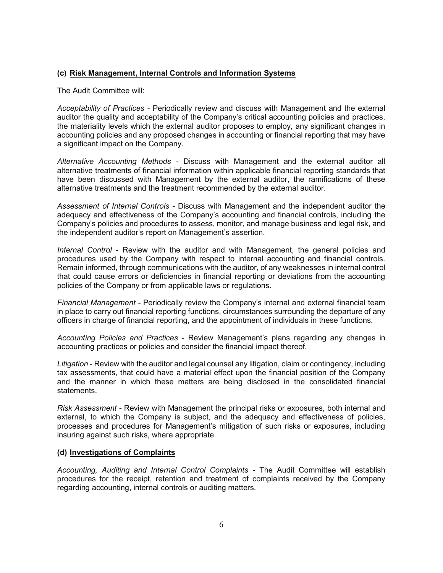# (c) Risk Management, Internal Controls and Information Systems

The Audit Committee will:

Acceptability of Practices - Periodically review and discuss with Management and the external auditor the quality and acceptability of the Company's critical accounting policies and practices, the materiality levels which the external auditor proposes to employ, any significant changes in accounting policies and any proposed changes in accounting or financial reporting that may have a significant impact on the Company.

Alternative Accounting Methods - Discuss with Management and the external auditor all alternative treatments of financial information within applicable financial reporting standards that have been discussed with Management by the external auditor, the ramifications of these alternative treatments and the treatment recommended by the external auditor.

Assessment of Internal Controls - Discuss with Management and the independent auditor the adequacy and effectiveness of the Company's accounting and financial controls, including the Company's policies and procedures to assess, monitor, and manage business and legal risk, and the independent auditor's report on Management's assertion.

Internal Control - Review with the auditor and with Management, the general policies and procedures used by the Company with respect to internal accounting and financial controls. Remain informed, through communications with the auditor, of any weaknesses in internal control that could cause errors or deficiencies in financial reporting or deviations from the accounting policies of the Company or from applicable laws or regulations.

Financial Management - Periodically review the Company's internal and external financial team in place to carry out financial reporting functions, circumstances surrounding the departure of any officers in charge of financial reporting, and the appointment of individuals in these functions.

Accounting Policies and Practices - Review Management's plans regarding any changes in accounting practices or policies and consider the financial impact thereof.

Litigation - Review with the auditor and legal counsel any litigation, claim or contingency, including tax assessments, that could have a material effect upon the financial position of the Company and the manner in which these matters are being disclosed in the consolidated financial statements.

Risk Assessment - Review with Management the principal risks or exposures, both internal and external, to which the Company is subject, and the adequacy and effectiveness of policies, processes and procedures for Management's mitigation of such risks or exposures, including insuring against such risks, where appropriate.

## (d) Investigations of Complaints

Accounting, Auditing and Internal Control Complaints - The Audit Committee will establish procedures for the receipt, retention and treatment of complaints received by the Company regarding accounting, internal controls or auditing matters.